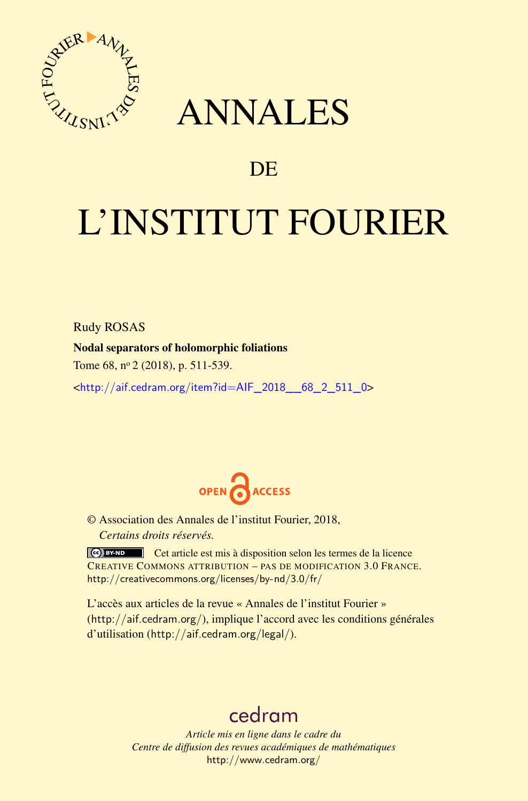

## ANNALES

### **DE**

# L'INSTITUT FOURIER

Rudy ROSAS

#### Nodal separators of holomorphic foliations

Tome 68, n<sup>o</sup> 2 (2018), p. 511-539.

<[http://aif.cedram.org/item?id=AIF\\_2018\\_\\_68\\_2\\_511\\_0](http://aif.cedram.org/item?id=AIF_2018__68_2_511_0)>



© Association des Annales de l'institut Fourier, 2018, *Certains droits réservés.*

Cet article est mis à disposition selon les termes de la licence CREATIVE COMMONS ATTRIBUTION – PAS DE MODIFICATION 3.0 FRANCE. <http://creativecommons.org/licenses/by-nd/3.0/fr/>

L'accès aux articles de la revue « Annales de l'institut Fourier » (<http://aif.cedram.org/>), implique l'accord avec les conditions générales d'utilisation (<http://aif.cedram.org/legal/>).

## [cedram](http://www.cedram.org/)

*Article mis en ligne dans le cadre du Centre de diffusion des revues académiques de mathématiques* <http://www.cedram.org/>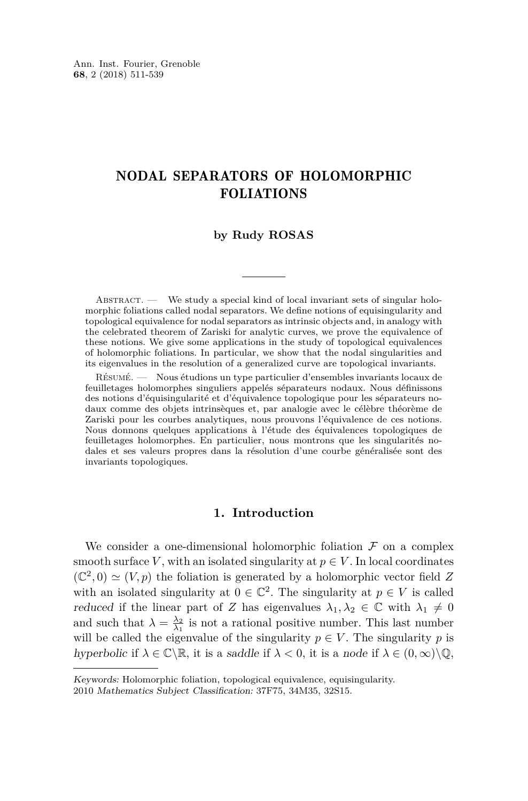#### NODAL SEPARATORS OF HOLOMORPHIC FOLIATIONS

#### **by Rudy ROSAS**

 $ABSTRACT.$  We study a special kind of local invariant sets of singular holomorphic foliations called nodal separators. We define notions of equisingularity and topological equivalence for nodal separators as intrinsic objects and, in analogy with the celebrated theorem of Zariski for analytic curves, we prove the equivalence of these notions. We give some applications in the study of topological equivalences of holomorphic foliations. In particular, we show that the nodal singularities and its eigenvalues in the resolution of a generalized curve are topological invariants.

Résumé. — Nous étudions un type particulier d'ensembles invariants locaux de feuilletages holomorphes singuliers appelés séparateurs nodaux. Nous définissons des notions d'équisingularité et d'équivalence topologique pour les séparateurs nodaux comme des objets intrinsèques et, par analogie avec le célèbre théorème de Zariski pour les courbes analytiques, nous prouvons l'équivalence de ces notions. Nous donnons quelques applications à l'étude des équivalences topologiques de feuilletages holomorphes. En particulier, nous montrons que les singularités nodales et ses valeurs propres dans la résolution d'une courbe généralisée sont des invariants topologiques.

#### **1. Introduction**

We consider a one-dimensional holomorphic foliation  $\mathcal F$  on a complex smooth surface *V*, with an isolated singularity at  $p \in V$ . In local coordinates  $(\mathbb{C}^2, 0) \simeq (V, p)$  the foliation is generated by a holomorphic vector field Z with an isolated singularity at  $0 \in \mathbb{C}^2$ . The singularity at  $p \in V$  is called reduced if the linear part of *Z* has eigenvalues  $\lambda_1, \lambda_2 \in \mathbb{C}$  with  $\lambda_1 \neq 0$ and such that  $\lambda = \frac{\lambda_2}{\lambda_1}$  is not a rational positive number. This last number will be called the eigenvalue of the singularity  $p \in V$ . The singularity *p* is hyperbolic if  $\lambda \in \mathbb{C} \backslash \mathbb{R}$ , it is a saddle if  $\lambda < 0$ , it is a node if  $\lambda \in (0, \infty) \backslash \mathbb{Q}$ ,

Keywords: Holomorphic foliation, topological equivalence, equisingularity.

<sup>2010</sup> Mathematics Subject Classification: 37F75, 34M35, 32S15.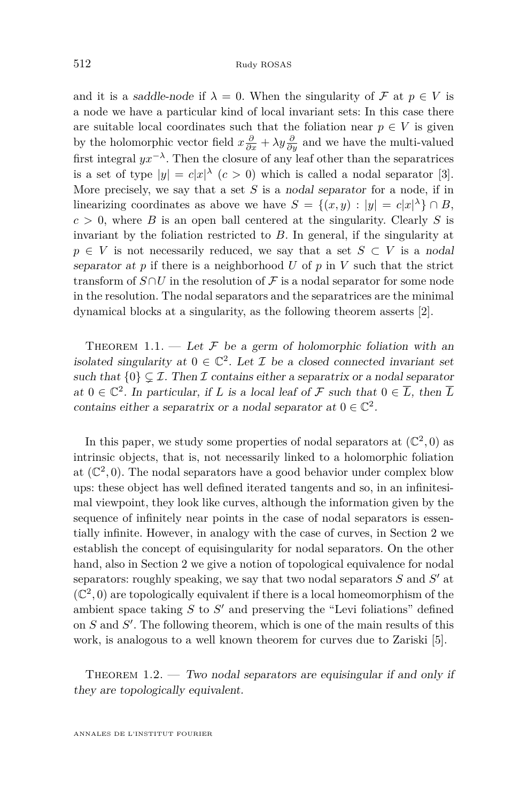and it is a saddle-node if  $\lambda = 0$ . When the singularity of  $\mathcal F$  at  $p \in V$  is a node we have a particular kind of local invariant sets: In this case there are suitable local coordinates such that the foliation near  $p \in V$  is given by the holomorphic vector field  $x\frac{\partial}{\partial x} + \lambda y\frac{\partial}{\partial y}$  and we have the multi-valued first integral  $yx^{-\lambda}$ . Then the closure of any leaf other than the separatrices is a set of type  $|y| = c|x|^{\lambda}$   $(c > 0)$  which is called a nodal separator [\[3\]](#page-28-0). More precisely, we say that a set *S* is a nodal separator for a node, if in linearizing coordinates as above we have  $S = \{(x, y) : |y| = c|x|^{\lambda}\} \cap B$ ,  $c > 0$ , where *B* is an open ball centered at the singularity. Clearly *S* is invariant by the foliation restricted to *B*. In general, if the singularity at  $p \in V$  is not necessarily reduced, we say that a set  $S \subset V$  is a nodal separator at  $p$  if there is a neighborhood  $U$  of  $p$  in  $V$  such that the strict transform of  $S \cap U$  in the resolution of F is a nodal separator for some node in the resolution. The nodal separators and the separatrices are the minimal dynamical blocks at a singularity, as the following theorem asserts [\[2\]](#page-28-1).

<span id="page-2-1"></span>THEOREM 1.1. — Let  $\mathcal F$  be a germ of holomorphic foliation with an isolated singularity at  $0 \in \mathbb{C}^2$ . Let  $\mathcal I$  be a closed connected invariant set such that  $\{0\} \subset \mathcal{I}$ . Then  $\mathcal I$  contains either a separatrix or a nodal separator at  $0 \in \mathbb{C}^2$ . In particular, if *L* is a local leaf of *F* such that  $0 \in \overline{L}$ , then  $\overline{L}$ contains either a separatrix or a nodal separator at  $0 \in \mathbb{C}^2$ .

In this paper, we study some properties of nodal separators at  $(\mathbb{C}^2,0)$  as intrinsic objects, that is, not necessarily linked to a holomorphic foliation at  $(\mathbb{C}^2, 0)$ . The nodal separators have a good behavior under complex blow ups: these object has well defined iterated tangents and so, in an infinitesimal viewpoint, they look like curves, although the information given by the sequence of infinitely near points in the case of nodal separators is essentially infinite. However, in analogy with the case of curves, in Section [2](#page-4-0) we establish the concept of equisingularity for nodal separators. On the other hand, also in Section [2](#page-4-0) we give a notion of topological equivalence for nodal separators: roughly speaking, we say that two nodal separators  $S$  and  $S'$  at  $(\mathbb{C}^2,0)$  are topologically equivalent if there is a local homeomorphism of the ambient space taking  $S$  to  $S'$  and preserving the "Levi foliations" defined on  $S$  and  $S'$ . The following theorem, which is one of the main results of this work, is analogous to a well known theorem for curves due to Zariski [\[5\]](#page-28-2).

<span id="page-2-0"></span>THEOREM  $1.2.$  — Two nodal separators are equisingular if and only if they are topologically equivalent.

ANNALES DE L'INSTITUT FOURIER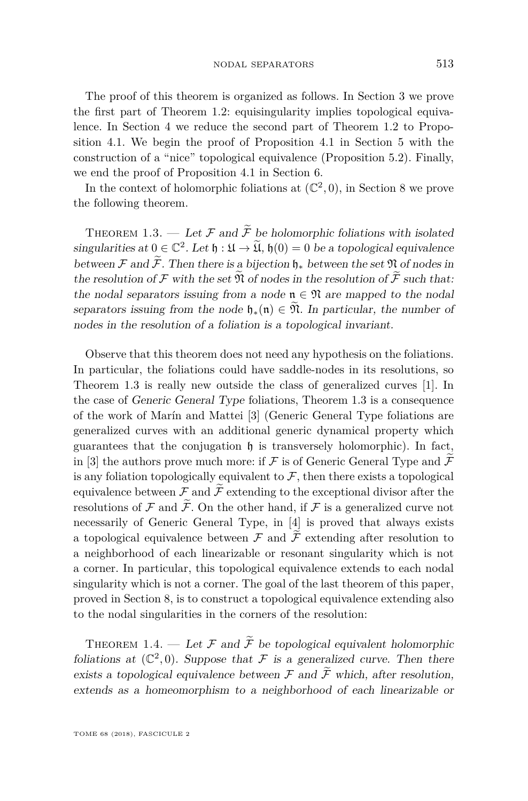The proof of this theorem is organized as follows. In Section [3](#page-7-0) we prove the first part of Theorem [1.2:](#page-2-0) equisingularity implies topological equivalence. In Section [4](#page-8-0) we reduce the second part of Theorem [1.2](#page-2-0) to Proposition [4.1.](#page-8-1) We begin the proof of Proposition [4.1](#page-8-1) in Section [5](#page-9-0) with the construction of a "nice" topological equivalence (Proposition [5.2\)](#page-10-0). Finally, we end the proof of Proposition [4.1](#page-8-1) in Section [6.](#page-19-0)

In the context of holomorphic foliations at  $(\mathbb{C}^2, 0)$ , in Section [8](#page-23-0) we prove the following theorem.

<span id="page-3-0"></span>THEOREM 1.3. — Let F and  $\widetilde{F}$  be holomorphic foliations with isolated singularities at  $0 \in \mathbb{C}^2$ . Let  $\mathfrak{h} : \mathfrak{U} \to \widetilde{\mathfrak{U}}$ ,  $\mathfrak{h}(0) = 0$  be a topological equivalence between F and  $\widetilde{\mathcal{F}}$ . Then there is a bijection  $\mathfrak{h}_*$  between the set  $\mathfrak N$  of nodes in the resolution of  $\mathcal F$  with the set  $\mathfrak N$  of nodes in the resolution of  $\mathcal F$  such that: the nodal separators issuing from a node  $\mathfrak{n} \in \mathfrak{N}$  are mapped to the nodal separators issuing from the node  $\mathfrak{h}_*(\mathfrak{n}) \in \mathfrak{N}$ . In particular, the number of nodes in the resolution of a foliation is a topological invariant.

Observe that this theorem does not need any hypothesis on the foliations. In particular, the foliations could have saddle-nodes in its resolutions, so Theorem [1.3](#page-3-0) is really new outside the class of generalized curves [\[1\]](#page-28-3). In the case of Generic General Type foliations, Theorem [1.3](#page-3-0) is a consequence of the work of Marín and Mattei [\[3\]](#page-28-0) (Generic General Type foliations are generalized curves with an additional generic dynamical property which guarantees that the conjugation  $\mathfrak h$  is transversely holomorphic). In fact, in [\[3\]](#page-28-0) the authors prove much more: if F is of Generic General Type and  $\widetilde{\mathcal{F}}$ is any foliation topologically equivalent to  $\mathcal{F}$ , then there exists a topological equivalence between  $\mathcal F$  and  $\widetilde{\mathcal F}$  extending to the exceptional divisor after the resolutions of  $\mathcal F$  and  $\widetilde{\mathcal F}$ . On the other hand, if  $\mathcal F$  is a generalized curve not necessarily of Generic General Type, in [\[4\]](#page-28-4) is proved that always exists a topological equivalence between  $\mathcal F$  and  $\widetilde{\mathcal F}$  extending after resolution to a neighborhood of each linearizable or resonant singularity which is not a corner. In particular, this topological equivalence extends to each nodal singularity which is not a corner. The goal of the last theorem of this paper, proved in Section [8,](#page-23-0) is to construct a topological equivalence extending also to the nodal singularities in the corners of the resolution:

<span id="page-3-1"></span>THEOREM 1.4. — Let  $\mathcal F$  and  $\widetilde{\mathcal F}$  be topological equivalent holomorphic foliations at  $(\mathbb{C}^2, 0)$ . Suppose that F is a generalized curve. Then there exists a topological equivalence between  $\mathcal F$  and  $\widetilde{\mathcal F}$  which, after resolution, extends as a homeomorphism to a neighborhood of each linearizable or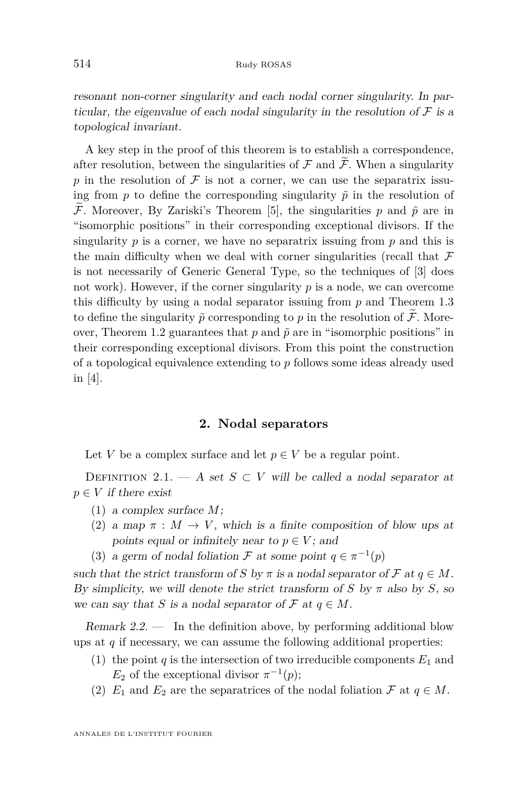resonant non-corner singularity and each nodal corner singularity. In particular, the eigenvalue of each nodal singularity in the resolution of  $\mathcal F$  is a topological invariant.

A key step in the proof of this theorem is to establish a correspondence, after resolution, between the singularities of  $\mathcal F$  and  $\widetilde{\mathcal F}$ . When a singularity p in the resolution of  $\mathcal F$  is not a corner, we can use the separatrix issuing from  $p$  to define the corresponding singularity  $\tilde{p}$  in the resolution of  $\widetilde{\mathcal{F}}$ . Moreover, By Zariski's Theorem [\[5\]](#page-28-2), the singularities p and  $\widetilde{p}$  are in "isomorphic positions" in their corresponding exceptional divisors. If the singularity  $p$  is a corner, we have no separatrix issuing from  $p$  and this is the main difficulty when we deal with corner singularities (recall that  $\mathcal F$ is not necessarily of Generic General Type, so the techniques of [\[3\]](#page-28-0) does not work). However, if the corner singularity *p* is a node, we can overcome this difficulty by using a nodal separator issuing from *p* and Theorem [1.3](#page-3-0) to define the singularity  $\tilde{p}$  corresponding to  $p$  in the resolution of  $\tilde{\mathcal{F}}$ . More-over, Theorem [1.2](#page-2-0) guarantees that  $p$  and  $\tilde{p}$  are in "isomorphic positions" in their corresponding exceptional divisors. From this point the construction of a topological equivalence extending to *p* follows some ideas already used in [\[4\]](#page-28-4).

#### **2. Nodal separators**

<span id="page-4-0"></span>Let *V* be a complex surface and let  $p \in V$  be a regular point.

DEFINITION 2.1. — A set  $S \subset V$  will be called a nodal separator at  $p \in V$  *if there exist* 

- (1) a complex surface *M*;
- (2) a map  $\pi : M \to V$ , which is a finite composition of blow ups at points equal or infinitely near to  $p \in V$ ; and
- (3) a germ of nodal foliation  $\mathcal F$  at some point  $q \in \pi^{-1}(p)$

such that the strict transform of *S* by  $\pi$  is a nodal separator of  $\mathcal F$  at  $q \in M$ . By simplicity, we will denote the strict transform of *S* by  $\pi$  also by *S*, so we can say that *S* is a nodal separator of  $\mathcal F$  at  $q \in M$ .

<span id="page-4-1"></span>Remark  $2.2$ . In the definition above, by performing additional blow ups at  $q$  if necessary, we can assume the following additional properties:

- (1) the point  $q$  is the intersection of two irreducible components  $E_1$  and  $E_2$  of the exceptional divisor  $\pi^{-1}(p)$ ;
- (2)  $E_1$  and  $E_2$  are the separatrices of the nodal foliation  $\mathcal F$  at  $q \in M$ .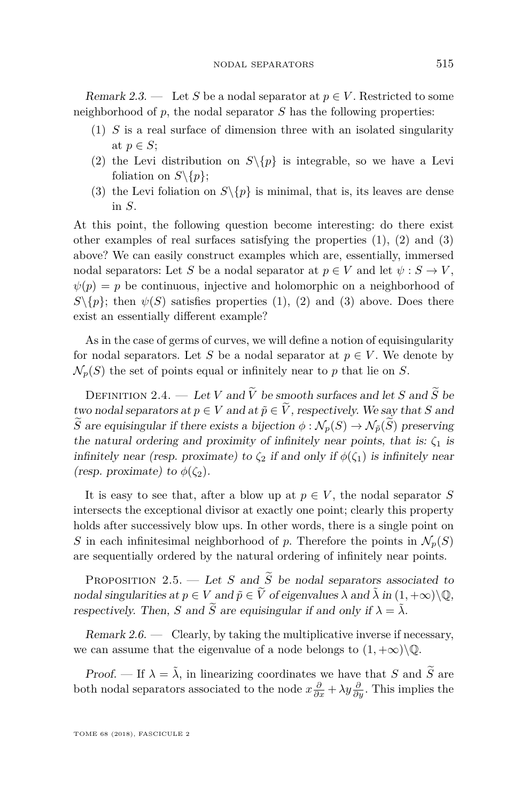Remark 2.3. — Let S be a nodal separator at  $p \in V$ . Restricted to some neighborhood of *p*, the nodal separator *S* has the following properties:

- <span id="page-5-0"></span>(1) *S* is a real surface of dimension three with an isolated singularity at  $p \in S$ ;
- <span id="page-5-1"></span>(2) the Levi distribution on  $S\backslash\{p\}$  is integrable, so we have a Levi foliation on  $S \setminus \{p\};$
- <span id="page-5-2"></span>(3) the Levi foliation on  $S \setminus \{p\}$  is minimal, that is, its leaves are dense in *S*.

At this point, the following question become interesting: do there exist other examples of real surfaces satisfying the properties  $(1)$ ,  $(2)$  and  $(3)$ above? We can easily construct examples which are, essentially, immersed nodal separators: Let *S* be a nodal separator at  $p \in V$  and let  $\psi : S \to V$ ,  $\psi(p) = p$  be continuous, injective and holomorphic on a neighborhood of  $S\setminus\{p\}$ ; then  $\psi(S)$  satisfies properties [\(1\)](#page-5-0), [\(2\)](#page-5-1) and [\(3\)](#page-5-2) above. Does there exist an essentially different example?

As in the case of germs of curves, we will define a notion of equisingularity for nodal separators. Let *S* be a nodal separator at  $p \in V$ . We denote by  $\mathcal{N}_p(S)$  the set of points equal or infinitely near to p that lie on *S*.

DEFINITION 2.4. — Let *V* and  $\widetilde{V}$  be smooth surfaces and let *S* and  $\widetilde{S}$  be two nodal separators at  $p \in V$  and at  $\tilde{p} \in \tilde{V}$ , respectively. We say that *S* and  $\widetilde{S}$  are equisingular if there exists a bijection  $\phi : \mathcal{N}_p(S) \to \mathcal{N}_{\tilde{p}}(\widetilde{S})$  preserving the natural ordering and proximity of infinitely near points, that is:  $\zeta_1$  is infinitely near (resp. proximate) to  $\zeta_2$  if and only if  $\phi(\zeta_1)$  is infinitely near (resp. proximate) to  $\phi(\zeta_2)$ .

It is easy to see that, after a blow up at  $p \in V$ , the nodal separator *S* intersects the exceptional divisor at exactly one point; clearly this property holds after successively blow ups. In other words, there is a single point on *S* in each infinitesimal neighborhood of *p*. Therefore the points in  $\mathcal{N}_p(S)$ are sequentially ordered by the natural ordering of infinitely near points.

<span id="page-5-3"></span>PROPOSITION 2.5. — Let *S* and  $\widetilde{S}$  be nodal separators associated to nodal singularities at  $p \in V$  and  $\tilde{p} \in \tilde{V}$  of eigenvalues  $\lambda$  and  $\tilde{\lambda}$  in  $(1, +\infty) \setminus \mathbb{Q}$ , respectively. Then, *S* and  $\widetilde{S}$  are equisingular if and only if  $\lambda = \widetilde{\lambda}$ .

Remark  $2.6.$  — Clearly, by taking the multiplicative inverse if necessary, we can assume that the eigenvalue of a node belongs to  $(1, +\infty)\\mathbb{Q}$ .

Proof. — If  $\lambda = \tilde{\lambda}$ , in linearizing coordinates we have that *S* and  $\tilde{S}$  are both nodal separators associated to the node  $x\frac{\partial}{\partial x} + \lambda y\frac{\partial}{\partial y}$ . This implies the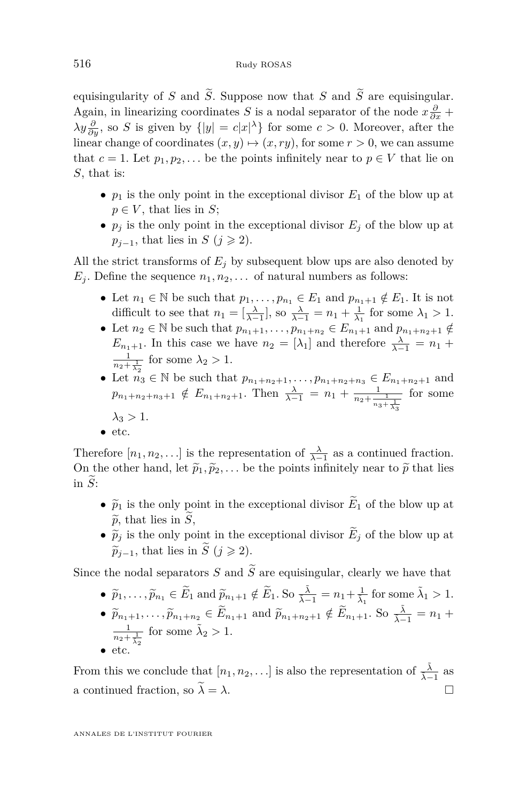equisingularity of *S* and  $\widetilde{S}$ . Suppose now that *S* and  $\widetilde{S}$  are equisingular. Again, in linearizing coordinates *S* is a nodal separator of the node  $x \frac{\partial}{\partial x} +$  $\lambda y \frac{\partial}{\partial y}$ , so *S* is given by  $\{|y| = c|x|^{\lambda}\}\$ for some  $c > 0$ . Moreover, after the linear change of coordinates  $(x, y) \mapsto (x, ry)$ , for some  $r > 0$ , we can assume that  $c = 1$ . Let  $p_1, p_2, \ldots$  be the points infinitely near to  $p \in V$  that lie on *S*, that is:

- $p_1$  is the only point in the exceptional divisor  $E_1$  of the blow up at  $p \in V$ , that lies in *S*;
- $p_i$  is the only point in the exceptional divisor  $E_i$  of the blow up at  $p_{i-1}$ , that lies in *S* (*j*  $\geq$  2).

All the strict transforms of  $E_i$  by subsequent blow ups are also denoted by  $E_j$ . Define the sequence  $n_1, n_2, \ldots$  of natural numbers as follows:

- Let  $n_1 \in \mathbb{N}$  be such that  $p_1, \ldots, p_{n_1} \in E_1$  and  $p_{n_1+1} \notin E_1$ . It is not difficult to see that  $n_1 = \left[\frac{\lambda}{\lambda-1}\right]$ , so  $\frac{\lambda}{\lambda-1} = n_1 + \frac{1}{\lambda_1}$  for some  $\lambda_1 > 1$ .
- Let  $n_2 \in \mathbb{N}$  be such that  $p_{n_1+1}, \ldots, p_{n_1+n_2} \in E_{n_1+1}$  and  $p_{n_1+n_2+1} \notin$ *E*<sub>*n*<sub>1</sub>+1</sub>. In this case we have  $n_2 = [\lambda_1]$  and therefore  $\frac{\lambda}{\lambda - 1} = n_1 +$  $\frac{1}{n_2 + \frac{1}{\lambda_2}}$  for some  $\lambda_2 > 1$ .
- Let  $n_3 \in \mathbb{N}$  be such that  $p_{n_1+n_2+1}, \ldots, p_{n_1+n_2+n_3} \in E_{n_1+n_2+1}$  and  $p_{n_1+n_2+n_3+1} \notin E_{n_1+n_2+1}$ . Then  $\frac{\lambda}{\lambda-1} = n_1 + \frac{1}{n_2 + \frac{1}{n_3 + \frac{1}{\lambda_3}}}$ for some  $\lambda_3 > 1$ .
- etc.

Therefore  $[n_1, n_2, \ldots]$  is the representation of  $\frac{\lambda}{\lambda-1}$  as a continued fraction. On the other hand, let  $\tilde{p}_1, \tilde{p}_2, \ldots$  be the points infinitely near to  $\tilde{p}$  that lies in  $\widetilde{S}$ :

- $\tilde{p}_1$  is the only point in the exceptional divisor  $\tilde{E}_1$  of the blow up at  $\widetilde{p}$ , that lies in  $\widetilde{S}$ ,
- $\widetilde{p}_j$  is the only point in the exceptional divisor  $\widetilde{E}_j$  of the blow up at  $\widetilde{p}_{i-1}$ , that lies in  $\widetilde{S}$  (*j*  $\geqslant$  2).

Since the nodal separators *S* and  $\widetilde{S}$  are equisingular, clearly we have that

- $\bullet$   $\widetilde{p}_1, \ldots, \widetilde{p}_{n_1} \in \widetilde{E}_1$  and  $\widetilde{p}_{n_1+1} \notin \widetilde{E}_1$ . So  $\frac{\tilde{\lambda}}{\tilde{\lambda}-1} = n_1 + \frac{1}{\tilde{\lambda}_1}$  for some  $\tilde{\lambda}_1 > 1$ .
- $\widetilde{p}_{n_1+1}, \ldots, \widetilde{p}_{n_1+n_2} \in \widetilde{E}_{n_1+1}$  and  $\widetilde{p}_{n_1+n_2+1} \notin \widetilde{E}_{n_1+1}$ . So  $\frac{\widetilde{\lambda}}{\widetilde{\lambda}-1} = n_1 + \widetilde{\lambda}$  $\frac{1}{n_2 + \frac{1}{\lambda_2}}$  for some  $\tilde{\lambda}_2 > 1$ .
- etc.

From this we conclude that  $[n_1, n_2, \ldots]$  is also the representation of  $\frac{\tilde{\lambda}}{\tilde{\lambda}-1}$  as a continued fraction, so  $\tilde{\lambda} = \lambda$ .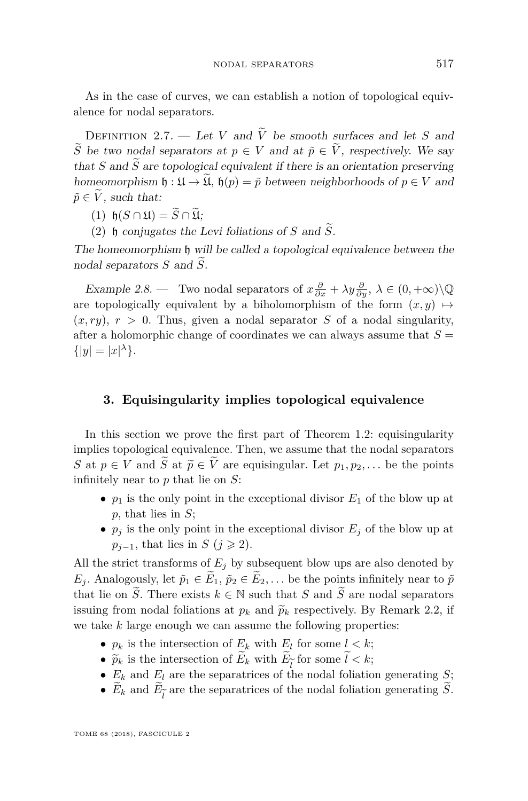As in the case of curves, we can establish a notion of topological equivalence for nodal separators.

DEFINITION 2.7. — Let *V* and  $\tilde{V}$  be smooth surfaces and let *S* and  $\widetilde{S}$  be two nodal separators at  $p \in V$  and at  $\widetilde{p} \in V$ , respectively. We say that *S* and  $\widetilde{S}$  are topological equivalent if there is an orientation preserving homeomorphism  $\mathfrak{h} : \mathfrak{U} \to \widetilde{\mathfrak{U}}$ ,  $\mathfrak{h}(p) = \tilde{p}$  between neighborhoods of  $p \in V$  and  $\tilde{p} \in V$ , such that:

 $(1)$  h $(S \cap \mathfrak{U}) = \widetilde{S} \cap \widetilde{\mathfrak{U}}$ :

(2)  $\mathfrak h$  conjugates the Levi foliations of *S* and  $\widetilde{S}$ .

The homeomorphism h will be called a topological equivalence between the nodal separators  $S$  and  $\widetilde{S}$ .

<span id="page-7-1"></span>Example 2.8. — Two nodal separators of  $x\frac{\partial}{\partial x} + \lambda y\frac{\partial}{\partial y}$ ,  $\lambda \in (0, +\infty)\setminus\mathbb{Q}$ are topologically equivalent by a biholomorphism of the form  $(x, y) \mapsto$  $(x, ry), r > 0$ . Thus, given a nodal separator *S* of a nodal singularity, after a holomorphic change of coordinates we can always assume that  $S =$  $\{|y|=|x|^{\lambda}\}.$ 

#### <span id="page-7-0"></span>**3. Equisingularity implies topological equivalence**

In this section we prove the first part of Theorem [1.2:](#page-2-0) equisingularity implies topological equivalence. Then, we assume that the nodal separators *S* at  $p \in V$  and  $\widetilde{S}$  at  $\widetilde{p} \in \widetilde{V}$  are equisingular. Let  $p_1, p_2, \ldots$  be the points infinitely near to *p* that lie on *S*:

- $p_1$  is the only point in the exceptional divisor  $E_1$  of the blow up at *p*, that lies in *S*;
- $p_j$  is the only point in the exceptional divisor  $E_j$  of the blow up at  $p_{j-1}$ , that lies in *S* (*j*  $\geq$  2).

All the strict transforms of  $E_j$  by subsequent blow ups are also denoted by *E*<sub>j</sub>. Analogously, let  $\tilde{p}_1 \in \tilde{E}_1$ ,  $\tilde{p}_2 \in \tilde{E}_2$ , ... be the points infinitely near to  $\tilde{p}$ that lie on  $\widetilde{S}$ . There exists  $k \in \mathbb{N}$  such that *S* and  $\widetilde{S}$  are nodal separators issuing from nodal foliations at  $p_k$  and  $\tilde{p}_k$  respectively. By Remark [2.2,](#page-4-1) if we take *k* large enough we can assume the following properties:

- $p_k$  is the intersection of  $E_k$  with  $E_l$  for some  $l < k$ ;
- $\widetilde{p}_k$  is the intersection of  $E_k$  with  $E_{\widetilde{t}}$  for some  $l < k$ ;
- $E_k$  as the intersection of  $E_k$  with  $E_l$  for some  $e \in \mathbb{R}$ ;<br>•  $E_k$  and  $E_l$  are the separatrices of the nodal foliation generating *S*;
- $E_k$  and  $E_{\tilde{l}}$  are the separatrices of the nodal foliation generating *S*.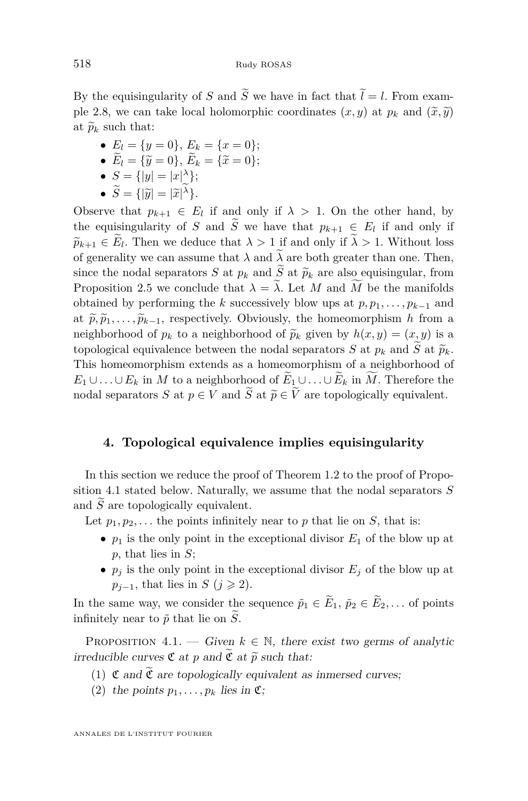By the equisingularity of *S* and  $\widetilde{S}$  we have in fact that  $\widetilde{l} = l$ . From exam-ple [2.8,](#page-7-1) we can take local holomorphic coordinates  $(x, y)$  at  $p_k$  and  $(\tilde{x}, \tilde{y})$ at  $\widetilde{p}_k$  such that:

• 
$$
E_l = \{y = 0\}, E_k = \{x = 0\};
$$

• 
$$
E_l = {\tilde{y} = 0}
$$
,  $E_k = {\tilde{x} = 0}$ ;  
\n•  $S = \lim_{k \to \infty} \frac{|\tilde{y}_l - y_k|}{k!}$ .

• 
$$
S = \{|y| = |x|^\lambda\};
$$

• 
$$
S = \{ |\widetilde{y}| = |\widetilde{x}|^{\lambda} \}.
$$

Observe that  $p_{k+1} \in E_l$  if and only if  $\lambda > 1$ . On the other hand, by the equisingularity of *S* and *S* we have that  $p_{k+1} \in E_l$  if and only if  $\widetilde{p}_{k+1} \in E_{l}$ . Then we deduce that  $\lambda > 1$  if and only if  $\lambda > 1$ . Without loss of generality we can assume that  $\lambda$  and  $\tilde{\lambda}$  are both greater than one. Then, since the nodal separators *S* at  $p_k$  and  $\widetilde{S}$  at  $\widetilde{p}_k$  are also equisingular, from Proposition [2.5](#page-5-3) we conclude that  $\lambda = \tilde{\lambda}$ . Let *M* and  $\widetilde{M}$  be the manifolds obtained by performing the *k* successively blow ups at  $p, p_1, \ldots, p_{k-1}$  and at  $\tilde{p}, \tilde{p}_1, \ldots, \tilde{p}_{k-1}$ , respectively. Obviously, the homeomorphism *h* from a neighborhood of  $p_k$  to a neighborhood of  $\tilde{p}_k$  given by  $h(x, y) = (x, y)$  is a topological equivalence between the nodal separators *S* at  $p_k$  and  $\widetilde{S}$  at  $\widetilde{p}_k$ . This homeomorphism extends as a homeomorphism of a neighborhood of *E*<sub>1</sub>∪...∪*E*<sub>*k*</sub> in *M* to a neighborhood of  $E_1 \cup \ldots \cup E_k$  in *M*. Therefore the nodal separators *S* at  $p \in V$  and  $\widetilde{S}$  at  $\widetilde{p} \in \widetilde{V}$  are topologically equivalent.

#### <span id="page-8-0"></span>**4. Topological equivalence implies equisingularity**

In this section we reduce the proof of Theorem [1.2](#page-2-0) to the proof of Proposition [4.1](#page-8-1) stated below. Naturally, we assume that the nodal separators *S* and  $\tilde{S}$  are topologically equivalent.

Let  $p_1, p_2, \ldots$  the points infinitely near to p that lie on *S*, that is:

- $p_1$  is the only point in the exceptional divisor  $E_1$  of the blow up at *p*, that lies in *S*;
- $p_j$  is the only point in the exceptional divisor  $E_j$  of the blow up at  $p_{j-1}$ , that lies in *S* (*j*  $\geq$  2).

In the same way, we consider the sequence  $\tilde{p}_1 \in \tilde{E}_1$ ,  $\tilde{p}_2 \in \tilde{E}_2$ , ... of points infinitely near to  $\tilde{p}$  that lie on  $S$ .

<span id="page-8-1"></span>PROPOSITION 4.1. — Given  $k \in \mathbb{N}$ , there exist two germs of analytic irreducible curves  $\mathfrak C$  at  $p$  and  $\mathfrak C$  at  $\widetilde{p}$  such that:

- <span id="page-8-2"></span>(1)  $\mathfrak C$  and  $\tilde{\mathfrak C}$  are topologically equivalent as inmersed curves;
- <span id="page-8-3"></span>(2) the points  $p_1, \ldots, p_k$  lies in  $\mathfrak{C}$ ;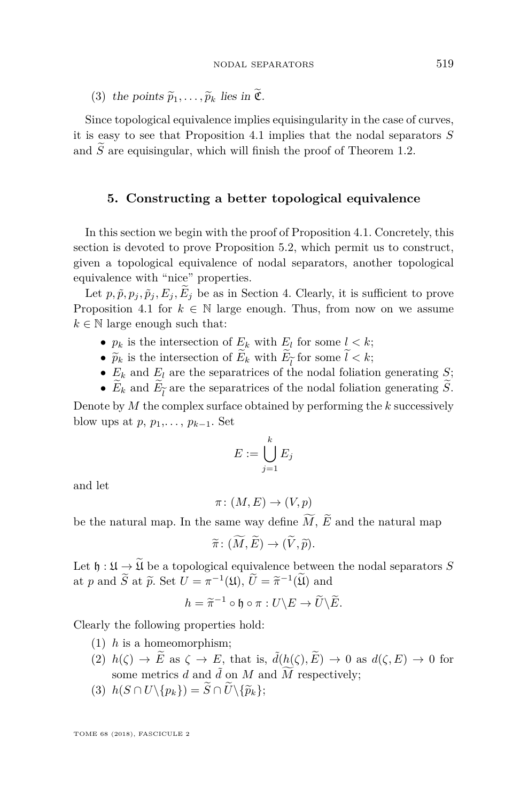<span id="page-9-4"></span>(3) the points  $\widetilde{p}_1, \ldots, \widetilde{p}_k$  lies in  $\widetilde{\mathfrak{C}}$ .

Since topological equivalence implies equisingularity in the case of curves, it is easy to see that Proposition [4.1](#page-8-1) implies that the nodal separators *S* and  $\widetilde{S}$  are equisingular, which will finish the proof of Theorem [1.2.](#page-2-0)

#### <span id="page-9-0"></span>**5. Constructing a better topological equivalence**

In this section we begin with the proof of Proposition [4.1.](#page-8-1) Concretely, this section is devoted to prove Proposition [5.2,](#page-10-0) which permit us to construct, given a topological equivalence of nodal separators, another topological equivalence with "nice" properties.

Let  $p, \tilde{p}, p_j, \tilde{p}_j, E_j, \tilde{E}_j$  be as in Section [4.](#page-8-0) Clearly, it is sufficient to prove Proposition [4.1](#page-8-1) for  $k \in \mathbb{N}$  large enough. Thus, from now on we assume  $k \in \mathbb{N}$  large enough such that:

- $p_k$  is the intersection of  $E_k$  with  $E_l$  for some  $l < k$ ;
- $\widetilde{p}_k$  is the intersection of  $E_k$  with  $E_{\widetilde{t}}$  for some  $l < k$ ;
- $E_k$  as the intersection of  $E_k$  are  $E_l$  and  $E_l$  for some  $i \in \mathbb{N}$ ;
- $E_k$  and  $E_{\tilde{l}}$  are the separatrices of the nodal foliation generating *S*.

Denote by *M* the complex surface obtained by performing the *k* successively blow ups at  $p, p_1, \ldots, p_{k-1}$ . Set

$$
E := \bigcup_{j=1}^k E_j
$$

and let

$$
\pi\colon (M,E)\to (V,p)
$$

be the natural map. In the same way define  $\widetilde{M}$ ,  $\widetilde{E}$  and the natural map

$$
\widetilde{\pi} \colon (\widetilde{M}, \widetilde{E}) \to (\widetilde{V}, \widetilde{p}).
$$

Let  $\mathfrak{h} : \mathfrak{U} \to \mathfrak{U}$  be a topological equivalence between the nodal separators *S* at *p* and  $\widetilde{S}$  at  $\widetilde{p}$ . Set  $U = \pi^{-1}(\mathfrak{U}), \widetilde{U} = \widetilde{\pi}^{-1}(\widetilde{\mathfrak{U}})$  and

$$
h = \widetilde{\pi}^{-1} \circ \mathfrak{h} \circ \pi : U \backslash E \to \widetilde{U} \backslash \widetilde{E}.
$$

<span id="page-9-1"></span>Clearly the following properties hold:

- (1) *h* is a homeomorphism;
- <span id="page-9-2"></span>(2)  $h(\zeta) \to \widetilde{E}$  as  $\zeta \to E$ , that is,  $\tilde{d}(h(\zeta), \widetilde{E}) \to 0$  as  $d(\zeta, E) \to 0$  for some metrics *d* and  $\tilde{d}$  on *M* and  $\widetilde{M}$  respectively;
- <span id="page-9-3"></span> $(3)$   $h(S \cap U \setminus \{p_k\}) = \widetilde{S} \cap \widetilde{U} \setminus \{\widetilde{p}_k\};$

TOME 68 (2018), FASCICULE 2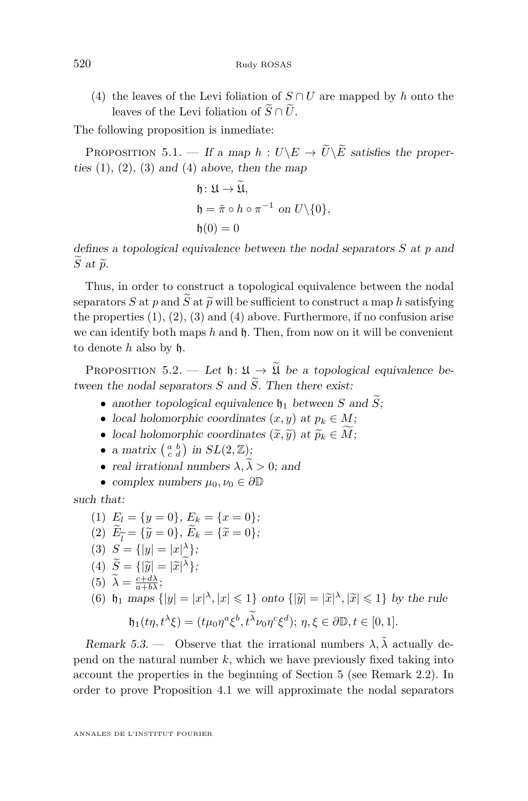<span id="page-10-1"></span>(4) the leaves of the Levi foliation of  $S \cap U$  are mapped by *h* onto the leaves of the Levi foliation of  $\tilde{S} \cap \tilde{U}$ .

The following proposition is inmediate:

PROPOSITION 5.1. — If a map  $h: U \backslash E \to \tilde{U} \backslash \tilde{E}$  satisfies the properties  $(1)$ ,  $(2)$ ,  $(3)$  and  $(4)$  above, then the map

$$
\begin{aligned} \mathfrak{h} &: \mathfrak{U} \to \mathfrak{U}, \\ \mathfrak{h} &= \tilde{\pi} \circ h \circ \pi^{-1} \text{ on } U \setminus \{0\}, \\ \mathfrak{h}(0) &= 0 \end{aligned}
$$

defines a topological equivalence between the nodal separators *S* at *p* and  $\widetilde{S}$  at  $\widetilde{p}$ .

Thus, in order to construct a topological equivalence between the nodal separators *S* at *p* and  $\widetilde{S}$  at  $\widetilde{p}$  will be sufficient to construct a map *h* satisfying the properties  $(1)$ ,  $(2)$ ,  $(3)$  and  $(4)$  above. Furthermore, if no confusion arise we can identify both maps h and h. Then, from now on it will be convenient to denote *h* also by h.

<span id="page-10-0"></span>PROPOSITION 5.2. — Let  $\mathfrak{h} : \mathfrak{U} \to \widetilde{\mathfrak{U}}$  be a topological equivalence between the nodal separators  $S$  and  $\widetilde{S}$ . Then there exist:

- another topological equivalence  $\mathfrak{h}_1$  between *S* and  $\tilde{S}$ ;
- local holomorphic coordinates  $(x, y)$  at  $p_k \in M$ ;
- local holomorphic coordinates  $(\widetilde{x}, \widetilde{y})$  at  $\widetilde{p}_k \in \widetilde{M}$ ;
- a matrix  $\begin{pmatrix} a & b \\ c & d \end{pmatrix}$  in  $SL(2, \mathbb{Z});$
- real irrational numbers  $\lambda, \tilde{\lambda} > 0$ ; and
- complex numbers  $\mu_0, \nu_0 \in \partial \mathbb{D}$

<span id="page-10-2"></span>such that:

\n- (1) 
$$
E_l = \{y = 0\}, E_k = \{x = 0\};
$$
\n- (2)  $\widetilde{E}_{\widetilde{l}} = \{\widetilde{y} = 0\}, \widetilde{E}_k = \{\widetilde{x} = 0\};$
\n- (3)  $S = \{|y| = |x|^\lambda\};$
\n- (4)  $\widetilde{S} = \{|\widetilde{y}| = |\widetilde{x}|^\lambda\};$
\n- (5)  $\widetilde{\lambda} = \frac{c + d\lambda}{a + b\lambda};$
\n- (6)  $\mathfrak{h}_1$  maps  $\{|y| = |x|^\lambda, |x| \leq 1\}$  onto  $\{|\widetilde{y}| = |\widetilde{x}|^\lambda, |\widetilde{x}| \leq 1\}$  by the rule  $\mathfrak{h}_1(t\eta, t^\lambda \xi) = (t\mu_0 \eta^a \xi^b, t^{\widetilde{\lambda}} \nu_0 \eta^c \xi^d); \eta, \xi \in \partial \mathbb{D}, t \in [0, 1].$
\n

<span id="page-10-3"></span>Remark 5.3. — Observe that the irrational numbers  $\lambda$ ,  $\tilde{\lambda}$  actually depend on the natural number *k*, which we have previously fixed taking into account the properties in the beginning of Section [5](#page-9-0) (see Remark [2.2\)](#page-4-1). In order to prove Proposition [4.1](#page-8-1) we will approximate the nodal separators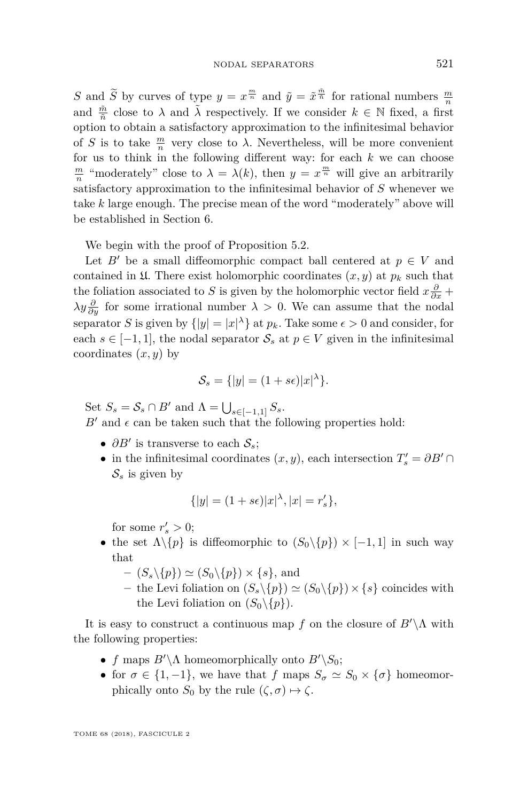*S* and  $\widetilde{S}$  by curves of type  $y = x^{\frac{m}{n}}$  and  $\widetilde{y} = \widetilde{x}^{\frac{m}{n}}$  for rational numbers  $\frac{m}{n}$ and  $\frac{\tilde{m}}{\tilde{n}}$  close to  $\lambda$  and  $\tilde{\lambda}$  respectively. If we consider  $k \in \mathbb{N}$  fixed, a first option to obtain a satisfactory approximation to the infinitesimal behavior of *S* is to take  $\frac{m}{n}$  very close to  $\lambda$ . Nevertheless, will be more convenient for us to think in the following different way: for each *k* we can choose  $\frac{m}{n}$  "moderately" close to  $\lambda = \lambda(k)$ , then  $y = x^{\frac{m}{n}}$  will give an arbitrarily satisfactory approximation to the infinitesimal behavior of *S* whenever we take *k* large enough. The precise mean of the word "moderately" above will be established in Section [6.](#page-19-0)

We begin with the proof of Proposition [5.2.](#page-10-0)

Let *B*<sup> $\prime$ </sup> be a small diffeomorphic compact ball centered at  $p \in V$  and contained in  $\mathfrak{U}$ . There exist holomorphic coordinates  $(x, y)$  at  $p_k$  such that the foliation associated to *S* is given by the holomorphic vector field  $x \frac{\partial}{\partial x} +$  $\lambda y \frac{\partial}{\partial y}$  for some irrational number  $\lambda > 0$ . We can assume that the nodal separator *S* is given by  $\{|y| = |x|^\lambda\}$  at  $p_k$ . Take some  $\epsilon > 0$  and consider, for each  $s \in [-1, 1]$ , the nodal separator  $\mathcal{S}_s$  at  $p \in V$  given in the infinitesimal coordinates (*x, y*) by

$$
\mathcal{S}_s = \{ |y| = (1 + s\epsilon) |x|^\lambda \}.
$$

Set  $S_s = S_s \cap B'$  and  $\Lambda = \bigcup_{s \in [-1,1]} S_s$ .  $B'$  and  $\epsilon$  can be taken such that the following properties hold:

- $\partial B'$  is transverse to each  $S_s$ ;
- in the infinitesimal coordinates  $(x, y)$ , each intersection  $T_s' = \partial B' \cap \partial B'$  $S_s$  is given by

$$
\{|y| = (1+s\epsilon)|x|^{\lambda}, |x| = r_s'\},\
$$

for some  $r'_s > 0$ ;

- the set  $\Lambda \backslash \{p\}$  is diffeomorphic to  $(S_0 \backslash \{p\}) \times [-1,1]$  in such way that
	- $-(S_s \setminus \{p\}) \simeq (S_0 \setminus \{p\}) \times \{s\},\$  and
	- the Levi foliation on  $(S_s \setminus \{p\}) \simeq (S_0 \setminus \{p\}) \times \{s\}$  coincides with the Levi foliation on  $(S_0 \setminus \{p\})$ .

It is easy to construct a continuous map f on the closure of  $B'\Lambda$  with the following properties:

- *f* maps  $B'\Lambda$  homeomorphically onto  $B'\Lambda$ ;
- for  $\sigma \in \{1, -1\}$ , we have that *f* maps  $S_{\sigma} \simeq S_0 \times {\sigma}$  homeomorphically onto  $S_0$  by the rule  $(\zeta, \sigma) \mapsto \zeta$ .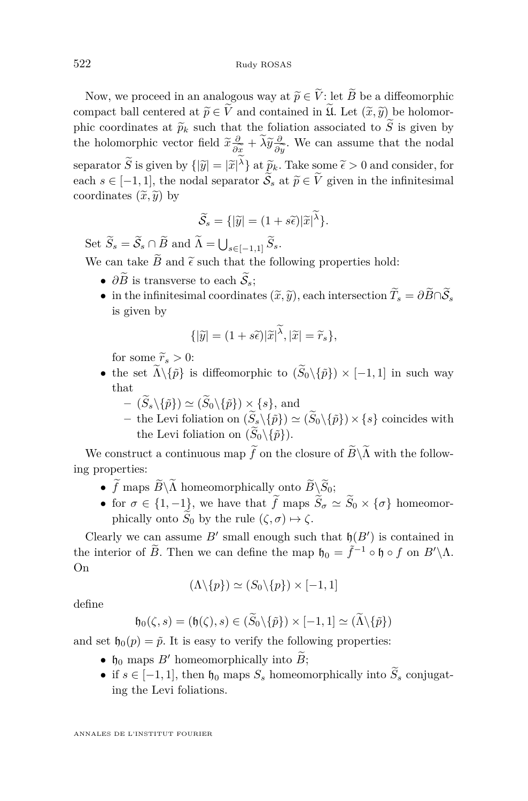Now, we proceed in an analogous way at  $\widetilde{p} \in \widetilde{V}$ : let  $\widetilde{B}$  be a diffeomorphic compact ball centered at  $\widetilde{p} \in \widetilde{V}$  and contained in  $\widetilde{\mathfrak{U}}$ . Let  $(\widetilde{x}, \widetilde{y})$  be holomorphic coordinates at  $\widetilde{p}_k$  such that the foliation associated to  $\widetilde{S}$  is given by the holomorphic vector field  $\tilde{x} \frac{\partial}{\partial \tilde{x}} + \tilde{\lambda} \tilde{y} \frac{\partial}{\partial \tilde{y}}$ . We can assume that the nodal  $\frac{\partial x}{\partial \lambda}$ <sup>o</sup>  $\frac{\partial y}{\partial t}$ separator  $\tilde{S}$  is given by  $\{|\tilde{y}| = |\tilde{x}|^{\lambda}\}\$  at  $\tilde{p}_k$ . Take some  $\tilde{\epsilon} > 0$  and consider, for each  $s \in [-1, 1]$ , the nodal separator  $\widetilde{S}_s$  at  $\widetilde{p} \in \widetilde{V}$  given in the infinitesimal coordinates  $(\tilde{x}, \tilde{y})$  by

$$
\widetilde{\mathcal{S}}_s = \{ |\widetilde{y}| = (1 + s\widetilde{\epsilon})|\widetilde{x}|^{\widetilde{\lambda}} \}.
$$

Set  $S_s = S_s \cap B$  and  $\Lambda = \bigcup_{s \in [-1,1]} S_s$ . We can take  $\widetilde{B}$  and  $\widetilde{\epsilon}$  such that the following properties hold:

- $\partial \widetilde{B}$  is transverse to each  $\widetilde{S}_s$ :
- in the infinitesimal coordinates  $(\widetilde{x}, \widetilde{y})$ , each intersection  $\widetilde{T}_s = \partial \widetilde{B} \cap \widetilde{S}_s$ is given by

$$
\{|\widetilde{y}| = (1+s\widetilde{\epsilon})|\widetilde{x}|^{\widetilde{\lambda}}, |\widetilde{x}| = \widetilde{r}_s\},\
$$

for some  $\widetilde{r}_s > 0$ :

- the set  $\widetilde{\Lambda}\setminus\{\widetilde{p}\}\)$  is diffeomorphic to  $(\widetilde{S}_0\setminus\{\widetilde{p}\}) \times [-1,1]$  in such way that
	- $(\widetilde{S}_s \setminus \{\widetilde{p}\}) \simeq (\widetilde{S}_0 \setminus \{\widetilde{p}\}) \times \{s\},\$  and
	- $-$  the Levi foliation on  $(\widetilde{S}_s \setminus {\{\tilde{p}\}}) \simeq (\widetilde{S}_0 \setminus {\{\tilde{p}\}}) \times \{s\}$  coincides with the Levi foliation on  $(\widetilde{S}_0 \setminus {\{\tilde{p}\}})$ .

We construct a continuous map  $\widetilde{f}$  on the closure of  $\widetilde{B}\backslash\widetilde{\Lambda}$  with the following properties:

- +  $\widetilde{f}$  maps  $\widetilde{B}\backslash\widetilde{\Lambda}$  homeomorphically onto  $\widetilde{B}\backslash\widetilde{S}_0$ ;
- for  $\sigma \in \{1, -1\}$ , we have that  $\tilde{f}$  maps  $\tilde{S}_\sigma \simeq \tilde{S}_0 \times \{\sigma\}$  homeomorphically onto  $\widetilde{S}_0$  by the rule  $(\zeta, \sigma) \mapsto \zeta$ .

Clearly we can assume  $B'$  small enough such that  $\mathfrak{h}(B')$  is contained in the interior of  $\widetilde{B}$ . Then we can define the map  $\mathfrak{h}_0 = \widetilde{f}^{-1} \circ \mathfrak{h} \circ f$  on  $B' \setminus \Lambda$ . On

$$
(\Lambda \backslash \{p\}) \simeq (S_0 \backslash \{p\}) \times [-1, 1]
$$

define

$$
\mathfrak{h}_0(\zeta,s)=(\mathfrak{h}(\zeta),s)\in(\widetilde{S}_0\backslash\{\widetilde{p}\})\times[-1,1]\simeq(\widetilde{\Lambda}\backslash\{\widetilde{p}\})
$$

and set  $\mathfrak{h}_0(p) = \tilde{p}$ . It is easy to verify the following properties:

- $\mathfrak{h}_0$  maps *B'* homeomorphically into *B*;
- if  $s \in [-1, 1]$ , then  $\mathfrak{h}_0$  maps  $S_s$  homeomorphically into  $\widetilde{S}_s$  conjugating the Levi foliations.

ANNALES DE L'INSTITUT FOURIER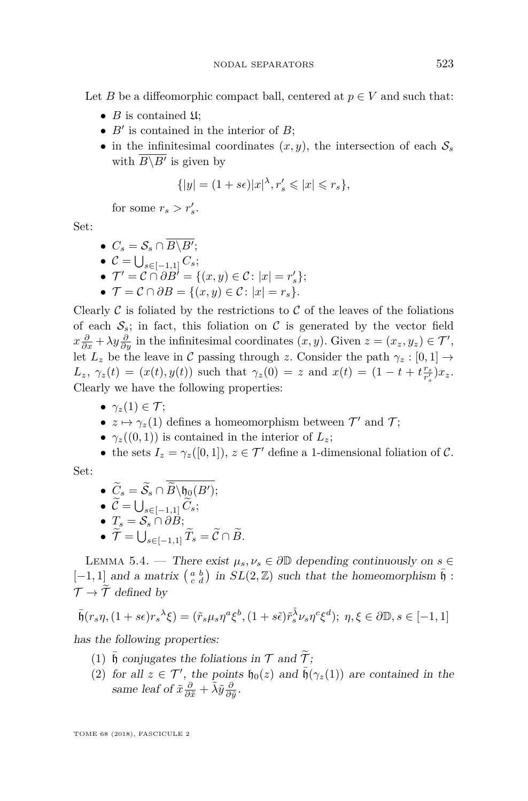Let *B* be a diffeomorphic compact ball, centered at  $p \in V$  and such that:

- $B$  is contained  $\mathfrak{U}$ ;
- $B'$  is contained in the interior of  $B$ ;
- in the infinitesimal coordinates  $(x, y)$ , the intersection of each  $S_s$ with  $B \backslash B'$  is given by

$$
\{|y| = (1+s\epsilon)|x|^{\lambda}, r'_s \leqslant |x| \leqslant r_s\},\
$$

for some  $r_s > r'_s$ .

Set:

$$
\bullet \ \ C_s = \mathcal{S}_s \cap \overline{B \backslash B'};
$$

- $\bullet$  *C* =  $\bigcup_{s \in [-1,1]} C_s;$
- $\bullet$   $\mathcal{T}' = \mathcal{C} \cap \partial B' = \{(x, y) \in \mathcal{C} : |x| = r'_s\};$
- $\mathcal{T} = \mathcal{C} \cap \partial B = \{(x, y) \in \mathcal{C} : |x| = r_s\}.$

Clearly  $\mathcal C$  is foliated by the restrictions to  $\mathcal C$  of the leaves of the foliations of each  $S_s$ ; in fact, this foliation on C is generated by the vector field  $x\frac{\partial}{\partial x} + \lambda y\frac{\partial}{\partial y}$  in the infinitesimal coordinates  $(x, y)$ . Given  $z = (x_z, y_z) \in \mathcal{T}'$ , let  $L_z$  be the leave in C passing through *z*. Consider the path  $\gamma_z : [0,1] \rightarrow$  $L_z$ ,  $\gamma_z(t) = (x(t), y(t))$  such that  $\gamma_z(0) = z$  and  $x(t) = (1 - t + t \frac{r_s}{r'_s}) x_z$ . Clearly we have the following properties:

- $\gamma$ <sub>z</sub>(1)  $\in \mathcal{T}$ ;
- $z \mapsto \gamma_z(1)$  defines a homeomorphism between  $\mathcal{T}'$  and  $\mathcal{T}$ ;
- $\gamma_z((0,1))$  is contained in the interior of  $L_z$ ;
- the sets  $I_z = \gamma_z([0,1])$ ,  $z \in \mathcal{T}'$  define a 1-dimensional foliation of C.

Set:

\n- \n
$$
\widetilde{C}_s = \widetilde{S}_s \cap \widetilde{B} \setminus \mathfrak{h}_0(B')
$$
\n
\n- \n
$$
\widetilde{C} = \bigcup_{s \in [-1,1]} \widetilde{C}_s
$$
\n
\n- \n
$$
T_s = S_s \cap \partial B
$$
\n
\n- \n
$$
\widetilde{\mathcal{T}} = \bigcup_{s \in [-1,1]} \widetilde{T}_s = \widetilde{C} \cap \widetilde{B}
$$
\n
\n

<span id="page-13-0"></span>LEMMA 5.4. — There exist  $\mu_s, \nu_s \in \partial \mathbb{D}$  depending continuously on  $s \in$  $[-1, 1]$  and a matrix  $\begin{pmatrix} a & b \\ c & d \end{pmatrix}$  in  $SL(2, \mathbb{Z})$  such that the homeomorphism  $\bar{b}$  :  $\mathcal{T} \to \widetilde{\mathcal{T}}$  defined by

$$
\bar{\mathfrak{h}}(r_s \eta, (1+s\epsilon)r_s^{\lambda}\xi) = (\tilde{r}_s \mu_s \eta^a \xi^b, (1+s\tilde{\epsilon})\tilde{r}_s^{\tilde{\lambda}} \nu_s \eta^c \xi^d); \ \eta, \xi \in \partial \mathbb{D}, s \in [-1, 1]
$$

<span id="page-13-1"></span>has the following properties:

- (1)  $\bar{\mathfrak{h}}$  conjugates the foliations in  $\mathcal T$  and  $\tilde{\mathcal T}$ ;
- <span id="page-13-2"></span>(2) for all  $z \in \mathcal{T}'$ , the points  $\mathfrak{h}_0(z)$  and  $\bar{\mathfrak{h}}(\gamma_z(1))$  are contained in the same leaf of  $\tilde{x}\frac{\partial}{\partial \tilde{x}} + \tilde{\lambda}\tilde{y}\frac{\partial}{\partial \tilde{y}}$ .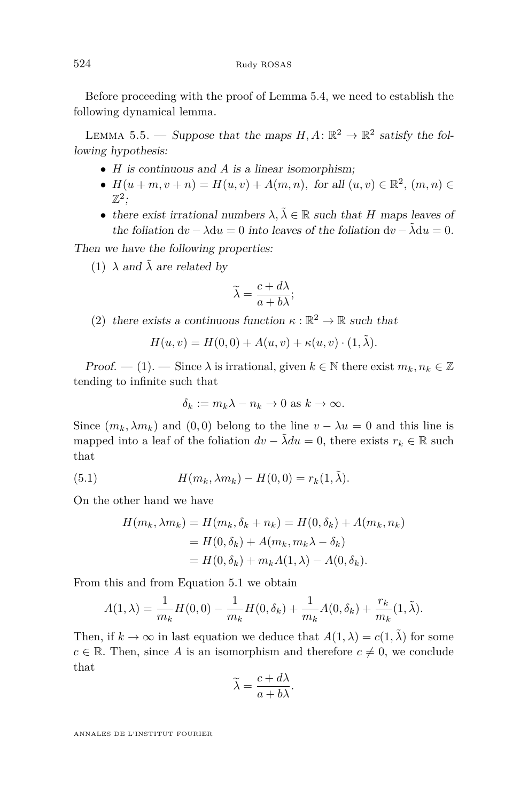Before proceeding with the proof of Lemma [5.4,](#page-13-0) we need to establish the following dynamical lemma.

<span id="page-14-3"></span>LEMMA 5.5. — Suppose that the maps  $H, A: \mathbb{R}^2 \to \mathbb{R}^2$  satisfy the following hypothesis:

- *H* is continuous and *A* is a linear isomorphism;
- $H(u+m, v+n) = H(u, v) + A(m, n)$ , for all  $(u, v) \in \mathbb{R}^2$ ,  $(m, n) \in$  $\mathbb{Z}^2$ ;
- there exist irrational numbers  $\lambda, \tilde{\lambda} \in \mathbb{R}$  such that *H* maps leaves of the foliation  $dv - \lambda du = 0$  into leaves of the foliation  $dv - \tilde{\lambda} du = 0$ .

<span id="page-14-0"></span>Then we have the following properties:

(1)  $\lambda$  and  $\tilde{\lambda}$  are related by

$$
\widetilde{\lambda} = \frac{c + d\lambda}{a + b\lambda};
$$

<span id="page-14-2"></span>(2) there exists a continuous function  $\kappa : \mathbb{R}^2 \to \mathbb{R}$  such that

$$
H(u, v) = H(0, 0) + A(u, v) + \kappa(u, v) \cdot (1, \tilde{\lambda}).
$$

Proof. — [\(1\)](#page-14-0). — Since  $\lambda$  is irrational, given  $k \in \mathbb{N}$  there exist  $m_k, n_k \in \mathbb{Z}$ tending to infinite such that

<span id="page-14-1"></span>
$$
\delta_k := m_k \lambda - n_k \to 0 \text{ as } k \to \infty.
$$

Since  $(m_k, \lambda m_k)$  and  $(0, 0)$  belong to the line  $v - \lambda u = 0$  and this line is mapped into a leaf of the foliation  $dv - \lambda du = 0$ , there exists  $r_k \in \mathbb{R}$  such that

(5.1) 
$$
H(m_k, \lambda m_k) - H(0, 0) = r_k(1, \tilde{\lambda}).
$$

On the other hand we have

$$
H(m_k, \lambda m_k) = H(m_k, \delta_k + n_k) = H(0, \delta_k) + A(m_k, n_k)
$$
  
=  $H(0, \delta_k) + A(m_k, m_k \lambda - \delta_k)$   
=  $H(0, \delta_k) + m_k A(1, \lambda) - A(0, \delta_k)$ .

From this and from Equation [5.1](#page-14-1) we obtain

$$
A(1,\lambda) = \frac{1}{m_k} H(0,0) - \frac{1}{m_k} H(0,\delta_k) + \frac{1}{m_k} A(0,\delta_k) + \frac{r_k}{m_k} (1,\tilde{\lambda}).
$$

Then, if  $k \to \infty$  in last equation we deduce that  $A(1, \lambda) = c(1, \tilde{\lambda})$  for some  $c \in \mathbb{R}$ . Then, since *A* is an isomorphism and therefore  $c \neq 0$ , we conclude that

$$
\widetilde{\lambda} = \frac{c + d\lambda}{a + b\lambda}.
$$

ANNALES DE L'INSTITUT FOURIER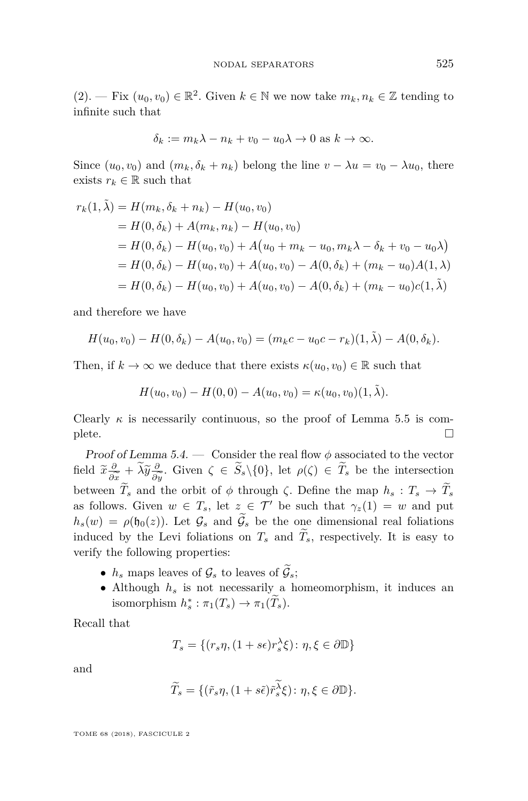$(2)$ . — Fix  $(u_0, v_0) \in \mathbb{R}^2$ . Given  $k \in \mathbb{N}$  we now take  $m_k, n_k \in \mathbb{Z}$  tending to infinite such that

$$
\delta_k := m_k \lambda - n_k + v_0 - u_0 \lambda \to 0 \text{ as } k \to \infty.
$$

Since  $(u_0, v_0)$  and  $(m_k, \delta_k + n_k)$  belong the line  $v - \lambda u = v_0 - \lambda u_0$ , there exists  $r_k \in \mathbb{R}$  such that

$$
r_k(1, \tilde{\lambda}) = H(m_k, \delta_k + n_k) - H(u_0, v_0)
$$
  
=  $H(0, \delta_k) + A(m_k, n_k) - H(u_0, v_0)$   
=  $H(0, \delta_k) - H(u_0, v_0) + A(u_0 + m_k - u_0, m_k\lambda - \delta_k + v_0 - u_0\lambda)$   
=  $H(0, \delta_k) - H(u_0, v_0) + A(u_0, v_0) - A(0, \delta_k) + (m_k - u_0)A(1, \lambda)$   
=  $H(0, \delta_k) - H(u_0, v_0) + A(u_0, v_0) - A(0, \delta_k) + (m_k - u_0)c(1, \tilde{\lambda})$ 

and therefore we have

$$
H(u_0, v_0) - H(0, \delta_k) - A(u_0, v_0) = (m_k c - u_0 c - r_k)(1, \tilde{\lambda}) - A(0, \delta_k).
$$

Then, if  $k \to \infty$  we deduce that there exists  $\kappa(u_0, v_0) \in \mathbb{R}$  such that

$$
H(u_0, v_0) - H(0, 0) - A(u_0, v_0) = \kappa(u_0, v_0)(1, \tilde{\lambda}).
$$

Clearly  $\kappa$  is necessarily continuous, so the proof of Lemma [5.5](#page-14-3) is com- $\Box$ 

Proof of Lemma [5.4.](#page-13-0) — Consider the real flow  $\phi$  associated to the vector field  $\tilde{x} \frac{\partial}{\partial \tilde{x}} + \tilde{\lambda} \tilde{y} \frac{\partial}{\partial \tilde{y}}$ . Given  $\zeta \in \tilde{S}_s \setminus \{0\}$ , let  $\rho(\zeta) \in \tilde{T}_s$  be the intersection *∂ex*  $\theta$ <sup>y</sup> ∂y<br> *n*  $\widetilde{T}$  and t between  $T_s$  and the orbit of  $\phi$  through  $\zeta$ . Define the map  $h_s : T_s \to T_s$ as follows. Given  $w \in T_s$ , let  $z \in \mathcal{T}'$  be such that  $\gamma_z(1) = w$  and put  $h_s(w) = \rho(\mathfrak{h}_0(z))$ . Let  $\mathcal{G}_s$  and  $\widetilde{\mathcal{G}}_s$  be the one dimensional real foliations induced by the Levi foliations on  $T_s$  and  $\widetilde{T}_s$ , respectively. It is easy to verify the following properties:

- $h_s$  maps leaves of  $\mathcal{G}_s$  to leaves of  $\widetilde{\mathcal{G}}_s$ ;
- Although  $h_s$  is not necessarily a homeomorphism, it induces an isomorphism  $h_s^* : \pi_1(T_s) \to \pi_1(\tilde{T}_s)$ .

Recall that

$$
T_s = \{(r_s\eta, (1+s\epsilon)r_s^{\lambda}\xi) \colon \eta, \xi \in \partial \mathbb{D}\}\
$$

and

$$
\widetilde{T}_s = \{ (\widetilde{r}_s \eta, (1 + s\widetilde{\epsilon})\widetilde{r}_s^{\widetilde{\lambda}} \xi) \colon \eta, \xi \in \partial \mathbb{D} \}.
$$

TOME 68 (2018), FASCICULE 2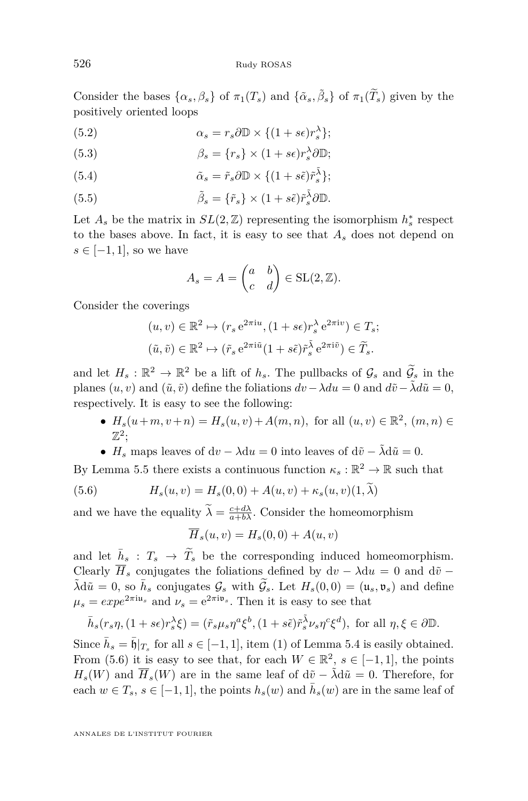Consider the bases  $\{\alpha_s, \beta_s\}$  of  $\pi_1(T_s)$  and  $\{\tilde{\alpha}_s, \tilde{\beta}_s\}$  of  $\pi_1(\tilde{T}_s)$  given by the positively oriented loops

(5.2) 
$$
\alpha_s = r_s \partial \mathbb{D} \times \{(1+s\epsilon)r_s^{\lambda}\};
$$

(5.3) 
$$
\beta_s = \{r_s\} \times (1 + s\epsilon)r_s^{\lambda} \partial \mathbb{D};
$$

(5.4) 
$$
\tilde{\alpha}_s = \tilde{r}_s \partial \mathbb{D} \times \{ (1 + s\tilde{\epsilon}) \tilde{r}_s^{\tilde{\lambda}} \};
$$

(5.5) 
$$
\tilde{\beta}_s = \{\tilde{r}_s\} \times (1 + s\tilde{\epsilon})\tilde{r}_s^{\tilde{\lambda}}\partial \mathbb{D}.
$$

Let  $A_s$  be the matrix in  $SL(2, \mathbb{Z})$  representing the isomorphism  $h_s^*$  respect to the bases above. In fact, it is easy to see that *A<sup>s</sup>* does not depend on *s* ∈ [−1*,* 1], so we have

$$
A_s = A = \begin{pmatrix} a & b \\ c & d \end{pmatrix} \in SL(2, \mathbb{Z}).
$$

Consider the coverings

$$
(u, v) \in \mathbb{R}^2 \mapsto (r_s e^{2\pi i u}, (1 + s\epsilon)r_s^{\lambda} e^{2\pi i v}) \in T_s;
$$
  

$$
(\tilde{u}, \tilde{v}) \in \mathbb{R}^2 \mapsto (\tilde{r}_s e^{2\pi i \tilde{u}} (1 + s\tilde{\epsilon}) \tilde{r}_s^{\lambda} e^{2\pi i \tilde{v}}) \in \tilde{T}_s.
$$

and let  $H_s : \mathbb{R}^2 \to \mathbb{R}^2$  be a lift of  $h_s$ . The pullbacks of  $\mathcal{G}_s$  and  $\widetilde{\mathcal{G}}_s$  in the planes  $(u, v)$  and  $(\tilde{u}, \tilde{v})$  define the foliations  $dv - \lambda du = 0$  and  $d\tilde{v} - \tilde{\lambda} d\tilde{u} = 0$ , respectively. It is easy to see the following:

- $H_s(u+m, v+n) = H_s(u, v) + A(m, n)$ , for all  $(u, v) \in \mathbb{R}^2$ ,  $(m, n) \in$  $\mathbb{Z}^2$ ;
- <span id="page-16-0"></span>•  $H_s$  maps leaves of dv –  $\lambda du = 0$  into leaves of dv –  $\tilde{\lambda} d\tilde{u} = 0$ .

By Lemma [5.5](#page-14-3) there exists a continuous function  $\kappa_s : \mathbb{R}^2 \to \mathbb{R}$  such that

(5.6) 
$$
H_s(u, v) = H_s(0, 0) + A(u, v) + \kappa_s(u, v)(1, \lambda)
$$

and we have the equality  $\tilde{\lambda} = \frac{c + d\lambda}{a + b\lambda}$ . Consider the homeomorphism

$$
\overline{H}_s(u,v) = H_s(0,0) + A(u,v)
$$

and let  $\bar{h}_s$  :  $T_s \rightarrow \tilde{T}_s$  be the corresponding induced homeomorphism. Clearly  $\overline{H}_s$  conjugates the foliations defined by  $dv - \lambda du = 0$  and  $d\tilde{v}$  −  $\tilde{\lambda} d\tilde{u} = 0$ , so  $\bar{h}_s$  conjugates  $\mathcal{G}_s$  with  $\tilde{\mathcal{G}}_s$ . Let  $H_s(0,0) = (u_s, \mathfrak{v}_s)$  and define  $\mu_s = exp e^{2\pi i u_s}$  and  $\nu_s = e^{2\pi i v_s}$ . Then it is easy to see that

$$
\bar{h}_s(r_s \eta, (1+s\epsilon)r_s^{\lambda}\xi) = (\tilde{r}_s \mu_s \eta^a \xi^b, (1+s\tilde{\epsilon})\tilde{r}_s^{\lambda} \nu_s \eta^c \xi^d), \text{ for all } \eta, \xi \in \partial \mathbb{D}.
$$

Since  $\bar{h}_s = \bar{\mathfrak{h}}|_{T_s}$  for all  $s \in [-1, 1]$ , item [\(1\)](#page-13-1) of Lemma [5.4](#page-13-0) is easily obtained. From [\(5.6\)](#page-16-0) it is easy to see that, for each  $W \in \mathbb{R}^2$ ,  $s \in [-1, 1]$ , the points  $H_s(W)$  and  $\overline{H}_s(W)$  are in the same leaf of d $\tilde{v}$  −  $\tilde{\lambda}d\tilde{u} = 0$ . Therefore, for each  $w \in T_s$ ,  $s \in [-1, 1]$ , the points  $h_s(w)$  and  $\bar{h}_s(w)$  are in the same leaf of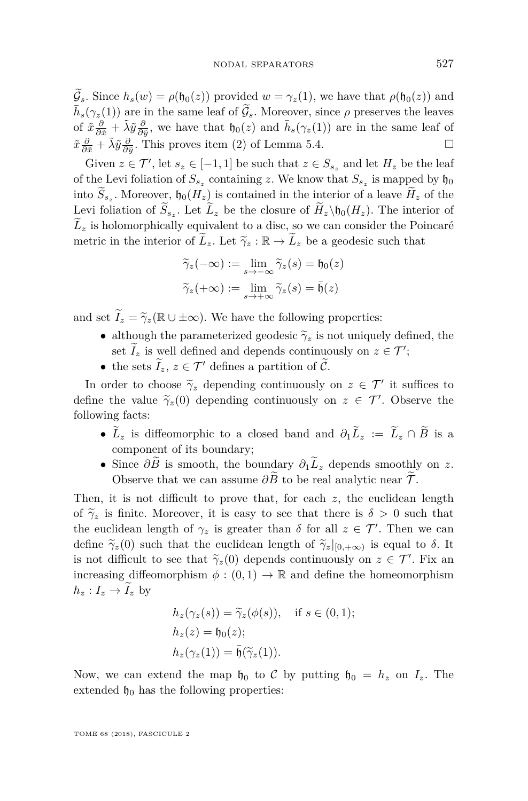$\widetilde{\mathcal{G}}_s$ . Since  $h_s(w) = \rho(\mathfrak{h}_0(z))$  provided  $w = \gamma_z(1)$ , we have that  $\rho(\mathfrak{h}_0(z))$  and  $\bar{h}_s(\gamma_z(1))$  are in the same leaf of  $\tilde{g}_s$ . Moreover, since  $\rho$  preserves the leaves of  $\tilde{x}\frac{\partial}{\partial \tilde{x}} + \tilde{\lambda}\tilde{y}\frac{\partial}{\partial \tilde{y}}$ , we have that  $\mathfrak{h}_0(z)$  and  $\bar{h}_s(\gamma_z(1))$  are in the same leaf of  $\tilde{x}\frac{\partial}{\partial \tilde{x}} + \tilde{\lambda}\tilde{y}\frac{\partial}{\partial \tilde{y}}$ . This proves item [\(2\)](#page-13-2) of Lemma [5.4.](#page-13-0)

Given  $z \in \mathcal{T}'$ , let  $s_z \in [-1, 1]$  be such that  $z \in S_{s_z}$  and let  $H_z$  be the leaf of the Levi foliation of  $S_{s_z}$  containing z. We know that  $S_{s_z}$  is mapped by  $\mathfrak{h}_0$ into  $S_{s_z}$ . Moreover,  $\mathfrak{h}_0(H_z)$  is contained in the interior of a leave  $H_z$  of the Levi foliation of  $S_{s_z}$ . Let  $L_z$  be the closure of  $H_z \setminus \mathfrak{h}_0(H_z)$ . The interior of  $\tilde{L}_z$  is holomorphically equivalent to a disc, so we can consider the Poincaré metric in the interior of  $\tilde{L}_z$ . Let  $\tilde{\gamma}_z : \mathbb{R} \to \tilde{L}_z$  be a geodesic such that

$$
\widetilde{\gamma}_z(-\infty) := \lim_{s \to -\infty} \widetilde{\gamma}_z(s) = \mathfrak{h}_0(z)
$$

$$
\widetilde{\gamma}_z(+\infty) := \lim_{s \to +\infty} \widetilde{\gamma}_z(s) = \bar{\mathfrak{h}}(z)
$$

and set  $\widetilde{I}_z = \widetilde{\gamma}_z(\mathbb{R} \cup \pm \infty)$ . We have the following properties:

- although the parameterized geodesic  $\tilde{\gamma}_z$  is not uniquely defined, the set  $I_z$  is well defined and depends continuously on  $z \in \mathcal{T}'$ ;
- the sets  $\tilde{I}_z, z \in \mathcal{T}'$  defines a partition of  $\tilde{\mathcal{C}}$ .

In order to choose  $\widetilde{\gamma}_z$  depending continuously on  $z \in \mathcal{T}'$  it suffices to fine the value  $\widetilde{\gamma}_z(0)$  depending continuously on  $z \in \mathcal{T}'$ . Observe the define the value  $\tilde{\gamma}_z(0)$  depending continuously on  $z \in \mathcal{T}'$ . Observe the following factor following facts:

- $\widetilde{L}_z$  is diffeomorphic to a closed band and  $\partial_1 \widetilde{L}_z := \widetilde{L}_z \cap \widetilde{B}$  is a component of its boundary;
- Since  $\partial \widetilde{B}$  is smooth, the boundary  $\partial_1 \widetilde{L}_z$  depends smoothly on *z*. Observe that we can assume  $\partial \tilde{B}$  to be real analytic near  $\tilde{\mathcal{T}}$ .

Then, it is not difficult to prove that, for each *z*, the euclidean length of  $\tilde{\gamma}_z$  is finite. Moreover, it is easy to see that there is  $\delta > 0$  such that the euclidean length of  $\gamma_z$  is greater than  $\delta$  for all  $z \in \mathcal{T}'$ . Then we can define  $\widetilde{\gamma}_z(0)$  such that the euclidean length of  $\widetilde{\gamma}_z|_{[0,+\infty)}$  is equal to  $\delta$ . It is not difficult to see that  $\tilde{\gamma}_z(0)$  depends continuously on  $z \in \mathcal{T}'$ . Fix an increasing diffeomorphism  $\phi : (0,1) \to \mathbb{R}$  and define the homeomorphism  $h_z: I_z \to I_z$  by

$$
h_z(\gamma_z(s)) = \widetilde{\gamma}_z(\phi(s)), \quad \text{if } s \in (0, 1);
$$
  
\n
$$
h_z(z) = \mathfrak{h}_0(z);
$$
  
\n
$$
h_z(\gamma_z(1)) = \overline{\mathfrak{h}}(\widetilde{\gamma}_z(1)).
$$

Now, we can extend the map  $\mathfrak{h}_0$  to C by putting  $\mathfrak{h}_0 = h_z$  on  $I_z$ . The extended  $\mathfrak{h}_0$  has the following properties: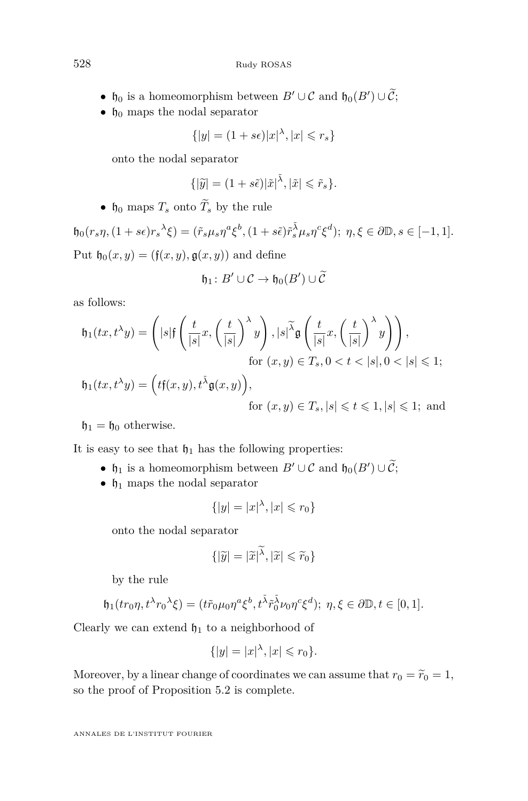- h<sub>0</sub> is a homeomorphism between  $B' \cup C$  and  $h_0(B') \cup C$ ;
- $\mathfrak{h}_0$  maps the nodal separator

$$
\{|y| = (1+s\epsilon)|x|^{\lambda}, |x| \leq r_s\}
$$

onto the nodal separator

$$
\{|\widetilde{y}| = (1+s\widetilde{\epsilon})|\widetilde{x}|^{\widetilde{\lambda}}, |\widetilde{x}| \leqslant \widetilde{r}_s\}.
$$

•  $\mathfrak{h}_0$  maps  $T_s$  onto  $\widetilde{T}_s$  by the rule

 $\mathfrak{h}_0(r_s\eta,(1+s\epsilon)r_s^{\lambda}\xi)=(\tilde{r}_s\mu_s\eta^a\xi^b,(1+s\tilde{\epsilon})\tilde{r}_s^{\tilde{\lambda}}\mu_s\eta^c\xi^d); \ \eta,\xi\in\partial\mathbb{D}, s\in[-1,1].$ Put  $\mathfrak{h}_0(x,y) = (\mathfrak{f}(x,y), \mathfrak{g}(x,y))$  and define

$$
\mathfrak{h}_1\colon B'\cup\mathcal{C}\to\mathfrak{h}_0(B')\cup\widetilde{\mathcal{C}}
$$

as follows:

$$
\mathfrak{h}_1(tx, t^{\lambda}y) = \left( |s| \mathfrak{f} \left( \frac{t}{|s|} x, \left( \frac{t}{|s|} \right)^{\lambda} y \right), |s|^{\widetilde{\lambda}} \mathfrak{g} \left( \frac{t}{|s|} x, \left( \frac{t}{|s|} \right)^{\lambda} y \right) \right),
$$
  
for  $(x, y) \in T_s, 0 < t < |s|, 0 < |s| \leq 1;$   

$$
\mathfrak{h}_1(tx, t^{\lambda}x) = \left( t \mathfrak{f}(x, x) + \widetilde{\lambda} \mathfrak{f}(x, x) \right).
$$

$$
\mathfrak{h}_1(tx, t^{\lambda}y) = \left(t\mathfrak{f}(x, y), t^{\tilde{\lambda}}\mathfrak{g}(x, y)\right),\
$$
  
for  $(x, y) \in T_s, |s| \leq t \leq 1, |s| \leq 1$ ; and

 $\mathfrak{h}_1 = \mathfrak{h}_0$  otherwise.

It is easy to see that  $\mathfrak{h}_1$  has the following properties:

- $\mathfrak{h}_1$  is a homeomorphism between  $B' \cup C$  and  $\mathfrak{h}_0(B') \cup C$ ;
- $\mathfrak{h}_1$  maps the nodal separator

$$
\{|y| = |x|^{\lambda}, |x| \leq r_0\}
$$

onto the nodal separator

$$
\{|\widetilde{y}| = |\widetilde{x}|^{\widetilde{\lambda}}, |\widetilde{x}| \leqslant \widetilde{r}_0\}
$$

by the rule

$$
\mathfrak{h}_1(tr_0\eta, t^{\lambda}r_0^{\lambda}\xi) = (t\tilde{r}_0\mu_0\eta^a\xi^b, t^{\tilde{\lambda}}\tilde{r}_0^{\tilde{\lambda}}\nu_0\eta^c\xi^d); \ \eta, \xi \in \partial\mathbb{D}, t \in [0, 1].
$$

Clearly we can extend  $\mathfrak{h}_1$  to a neighborhood of

$$
\{|y|=|x|^{\lambda},|x|\leqslant r_0\}.
$$

Moreover, by a linear change of coordinates we can assume that  $r_0 = \tilde{r}_0 = 1$ , so the proof of Proposition [5.2](#page-10-0) is complete.

ANNALES DE L'INSTITUT FOURIER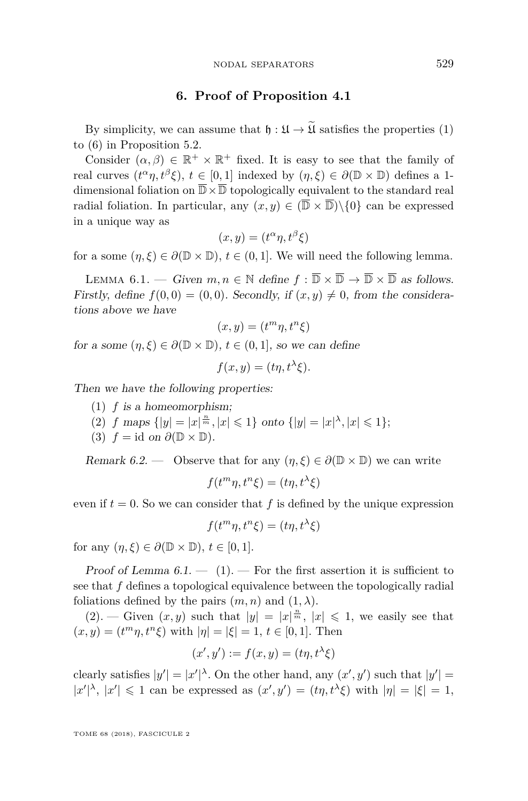#### **6. Proof of Proposition [4.1](#page-8-1)**

<span id="page-19-0"></span>By simplicity, we can assume that  $\mathfrak{h} : \mathfrak{U} \to \widetilde{\mathfrak{U}}$  satisfies the properties [\(1\)](#page-10-2) to [\(6\)](#page-10-3) in Proposition [5.2.](#page-10-0)

Consider  $(\alpha, \beta) \in \mathbb{R}^+ \times \mathbb{R}^+$  fixed. It is easy to see that the family of real curves  $(t^{\alpha}\eta, t^{\beta}\xi)$ ,  $t \in [0,1]$  indexed by  $(\eta, \xi) \in \partial(\mathbb{D} \times \mathbb{D})$  defines a 1dimensional foliation on  $\overline{\mathbb{D}} \times \overline{\mathbb{D}}$  topologically equivalent to the standard real radial foliation. In particular, any  $(x, y) \in (\overline{\mathbb{D}} \times \overline{\mathbb{D}}) \setminus \{0\}$  can be expressed in a unique way as

$$
(x, y) = (t^{\alpha} \eta, t^{\beta} \xi)
$$

for a some  $(\eta, \xi) \in \partial(\mathbb{D} \times \mathbb{D}), t \in (0, 1]$ . We will need the following lemma.

<span id="page-19-1"></span>LEMMA 6.1. — Given  $m, n \in \mathbb{N}$  define  $f : \overline{\mathbb{D}} \times \overline{\mathbb{D}} \to \overline{\mathbb{D}} \times \overline{\mathbb{D}}$  as follows. Firstly, define  $f(0,0) = (0,0)$ . Secondly, if  $(x, y) \neq 0$ , from the considerations above we have

$$
(x, y) = (t^m \eta, t^n \xi)
$$

for a some  $(\eta, \xi) \in \partial(\mathbb{D} \times \mathbb{D})$ ,  $t \in (0, 1]$ , so we can define

$$
f(x, y) = (t\eta, t^{\lambda}\xi).
$$

<span id="page-19-2"></span>Then we have the following properties:

- (1) *f* is a homeomorphism;
- <span id="page-19-3"></span>(2) *f* maps  $\{|y| = |x|^{\frac{n}{m}}, |x| \leq 1\}$  onto  $\{|y| = |x|^{\lambda}, |x| \leq 1\};$
- <span id="page-19-4"></span>(3)  $f = id$  on  $\partial(\mathbb{D} \times \mathbb{D})$ .

Remark 6.2. — Observe that for any  $(\eta, \xi) \in \partial(\mathbb{D} \times \mathbb{D})$  we can write

$$
f(t^m \eta, t^n \xi) = (t\eta, t^{\lambda} \xi)
$$

even if  $t = 0$ . So we can consider that  $f$  is defined by the unique expression

$$
f(t^m \eta, t^n \xi) = (t\eta, t^{\lambda} \xi)
$$

for any  $(\eta, \xi) \in \partial (\mathbb{D} \times \mathbb{D}), t \in [0, 1].$ 

Proof of Lemma  $6.1. - (1)$  $6.1. - (1)$  $6.1. - (1)$ . – For the first assertion it is sufficient to see that *f* defines a topological equivalence between the topologically radial foliations defined by the pairs  $(m, n)$  and  $(1, \lambda)$ .

 $(2)$ . — Given  $(x, y)$  such that  $|y| = |x|^{\frac{n}{m}}$ ,  $|x| \leq 1$ , we easily see that  $(x, y) = (t^m \eta, t^n \xi)$  with  $|\eta| = |\xi| = 1, t \in [0, 1]$ . Then

$$
(x', y') := f(x, y) = (t\eta, t^{\lambda}\xi)
$$

clearly satisfies  $|y'| = |x'|^{\lambda}$ . On the other hand, any  $(x', y')$  such that  $|y'| =$  $|x'|^{\lambda}$ ,  $|x'| \leq 1$  can be expressed as  $(x', y') = (t\eta, t^{\lambda}\xi)$  with  $|\eta| = |\xi| = 1$ ,

TOME 68 (2018), FASCICULE 2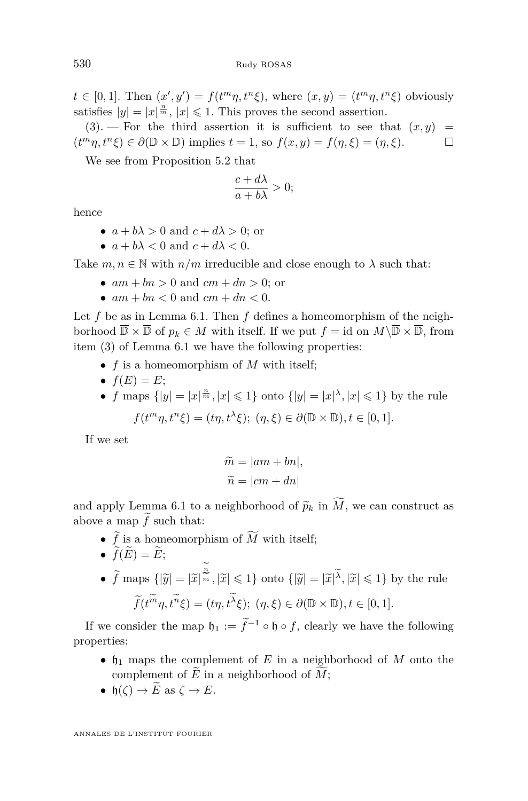$t \in [0,1]$ . Then  $(x', y') = f(t^m \eta, t^n \xi)$ , where  $(x, y) = (t^m \eta, t^n \xi)$  obviously satisfies  $|y| = |x|^{\frac{n}{m}}$ ,  $|x| \leq 1$ . This proves the second assertion.

 $(3)$ . – For the third assertion it is sufficient to see that  $(x, y)$  =  $(t^m \eta, t^n \xi) \in \partial(\mathbb{D} \times \mathbb{D})$  implies  $t = 1$ , so  $f(x, y) = f(\eta, \xi) = (\eta, \xi)$ .

We see from Proposition [5.2](#page-10-0) that

$$
\frac{c+d\lambda}{a+b\lambda}>0;
$$

hence

- $a + b\lambda > 0$  and  $c + d\lambda > 0$ ; or
- $a + b\lambda < 0$  and  $c + d\lambda < 0$ .

Take  $m, n \in \mathbb{N}$  with  $n/m$  irreducible and close enough to  $\lambda$  such that:

- $am + bn > 0$  and  $cm + dn > 0$ ; or
- $am + bn < 0$  and  $cm + dn < 0$ .

Let *f* be as in Lemma [6.1.](#page-19-1) Then *f* defines a homeomorphism of the neighborhood  $\overline{\mathbb{D}} \times \overline{\mathbb{D}}$  of  $p_k \in M$  with itself. If we put  $f = id$  on  $M \setminus \overline{\mathbb{D}} \times \overline{\mathbb{D}}$ , from item [\(3\)](#page-19-4) of Lemma [6.1](#page-19-1) we have the following properties:

- *f* is a homeomorphism of *M* with itself;
- $f(E) = E$ ;
- *f* maps  $\{|y| = |x|^{\frac{n}{m}}, |x| \leq 1\}$  onto  $\{|y| = |x|^{\lambda}, |x| \leq 1\}$  by the rule  $f(t^m \eta, t^n \xi) = (t\eta, t^{\lambda} \xi); (\eta, \xi) \in \partial(\mathbb{D} \times \mathbb{D}), t \in [0, 1].$

If we set

$$
\widetilde{m} = |am + bn|, \n\widetilde{n} = |cm + dn|
$$

and apply Lemma [6.1](#page-19-1) to a neighborhood of  $\widetilde{p}_k$  in  $\widetilde{M}$ , we can construct as above a map  $\tilde{f}$  such that:

- $\widetilde{f}$  is a homeomorphism of  $\widetilde{M}$  with itself;
- $\widetilde{f}(E) = \widetilde{E}$ ;
- $\widetilde{f}$  maps  $\{|\widetilde{y}| = |\widetilde{x}|^{\frac{n}{m}}, |\widetilde{x}| \leq 1\}$  onto  $\{|\widetilde{y}| = |\widetilde{x}|^{\widetilde{\lambda}}, |\widetilde{x}| \leq 1\}$  by the rule  $\widetilde{f}(t^m \eta, t^n \xi) = (t\eta, t^{\lambda} \xi); (\eta, \xi) \in \partial(\mathbb{D} \times \mathbb{D}), t \in [0, 1].$

If we consider the map  $\mathfrak{h}_1 := \tilde{f}^{-1} \circ \mathfrak{h} \circ f$ , clearly we have the following properties:

- $\mathfrak{h}_1$  maps the complement of *E* in a neighborhood of *M* onto the complement of  $\widetilde{E}$  in a neighborhood of  $\widetilde{M}$ ;
- $\mathfrak{h}(\zeta) \to \widetilde{E}$  as  $\zeta \to E$ .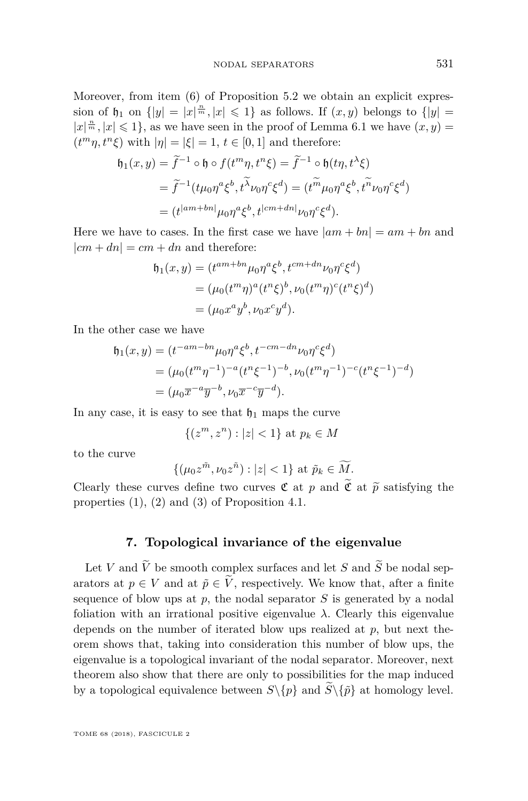Moreover, from item [\(6\)](#page-10-3) of Proposition [5.2](#page-10-0) we obtain an explicit expression of  $\mathfrak{h}_1$  on  $\{|y| = |x|^{\frac{n}{m}}, |x| \leq 1\}$  as follows. If  $(x, y)$  belongs to  $\{|y| =$  $|x|^{\frac{n}{m}}, |x| \leq 1$ , as we have seen in the proof of Lemma [6.1](#page-19-1) we have  $(x, y)$  =  $(t^m \eta, t^n \xi)$  with  $|\eta| = |\xi| = 1$ ,  $t \in [0, 1]$  and therefore:

$$
\mathfrak{h}_1(x,y) = \tilde{f}^{-1} \circ \mathfrak{h} \circ f(t^m \eta, t^n \xi) = \tilde{f}^{-1} \circ \mathfrak{h}(t\eta, t^{\lambda} \xi)
$$
  
= 
$$
\tilde{f}^{-1}(t\mu_0 \eta^a \xi^b, t^{\lambda} \nu_0 \eta^c \xi^d) = (t^{\tilde{m}} \mu_0 \eta^a \xi^b, t^{\tilde{n}} \nu_0 \eta^c \xi^d)
$$
  
= 
$$
(t^{|am + bn|} \mu_0 \eta^a \xi^b, t^{|cm + dn|} \nu_0 \eta^c \xi^d).
$$

Here we have to cases. In the first case we have  $|am + bn| = am + bn$  and  $|cm + dn| = cm + dn$  and therefore:

$$
\mathfrak{h}_1(x,y) = (t^{am+bn}\mu_0\eta^a\xi^b, t^{cm+dn}\nu_0\eta^c\xi^d)
$$
  
=  $(\mu_0(t^m\eta)^a(t^n\xi)^b, \nu_0(t^m\eta)^c(t^n\xi)^d)$   
=  $(\mu_0x^ay^b, \nu_0x^cy^d).$ 

In the other case we have

$$
h_1(x,y) = (t^{-am-bn}\mu_0\eta^a\xi^b, t^{-cm-dn}\nu_0\eta^c\xi^d)
$$
  
=  $(\mu_0(t^m\eta^{-1})^{-a}(t^n\xi^{-1})^{-b}, \nu_0(t^m\eta^{-1})^{-c}(t^n\xi^{-1})^{-d})$   
=  $(\mu_0\overline{x}^{-a}\overline{y}^{-b}, \nu_0\overline{x}^{-c}\overline{y}^{-d}).$ 

In any case, it is easy to see that  $\mathfrak{h}_1$  maps the curve

$$
\{(z^m, z^n) : |z| < 1\} \text{ at } p_k \in M
$$

to the curve

$$
\{(\mu_0 z^{\tilde{m}}, \nu_0 z^{\tilde{n}}) : |z| < 1\} \text{ at } \tilde{p}_k \in \widetilde{M}.
$$

Clearly these curves define two curves  $\mathfrak C$  at  $p$  and  $\mathfrak C$  at  $\tilde p$  satisfying the properties [\(1\)](#page-8-2), [\(2\)](#page-8-3) and [\(3\)](#page-9-4) of Proposition [4.1.](#page-8-1)

#### **7. Topological invariance of the eigenvalue**

Let *V* and  $\widetilde{V}$  be smooth complex surfaces and let *S* and  $\widetilde{S}$  be nodal separators at  $p \in V$  and at  $\tilde{p} \in \tilde{V}$ , respectively. We know that, after a finite sequence of blow ups at *p*, the nodal separator *S* is generated by a nodal foliation with an irrational positive eigenvalue  $\lambda$ . Clearly this eigenvalue depends on the number of iterated blow ups realized at *p*, but next theorem shows that, taking into consideration this number of blow ups, the eigenvalue is a topological invariant of the nodal separator. Moreover, next theorem also show that there are only to possibilities for the map induced by a topological equivalence between  $S\backslash\{p\}$  and  $\widetilde{S}\backslash\{\widetilde{p}\}$  at homology level.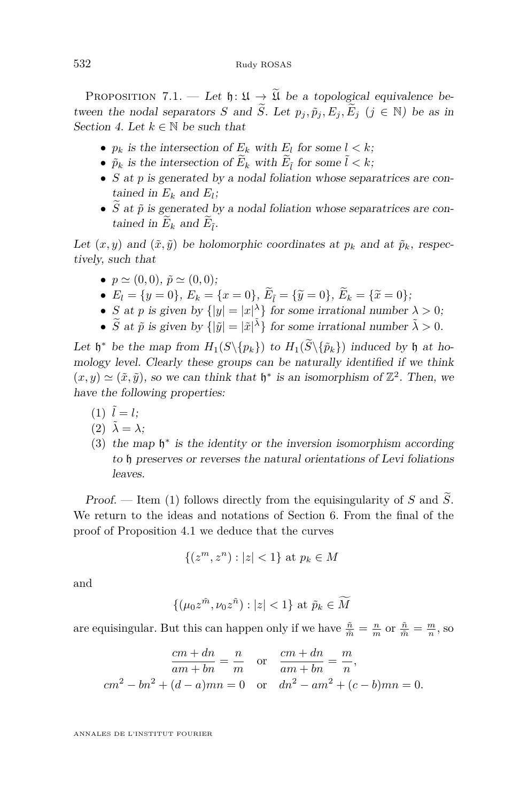<span id="page-22-1"></span>PROPOSITION 7.1. — Let  $\mathfrak{h} : \mathfrak{U} \to \widetilde{\mathfrak{U}}$  be a topological equivalence between the nodal separators *S* and  $\widetilde{S}$ . Let  $p_j$ ,  $\widetilde{p}_j$ ,  $E_j$ ,  $\widetilde{E}_j$  ( $j \in \mathbb{N}$ ) be as in Section [4.](#page-8-0) Let  $k \in \mathbb{N}$  be such that

- $p_k$  is the intersection of  $E_k$  with  $E_l$  for some  $l < k$ ;
- $\tilde{p}_k$  is the intersection of  $\tilde{E}_k$  with  $\tilde{E}_{\tilde{l}}$  for some  $\tilde{l} < k$ ;
- *S* at *p* is generated by a nodal foliation whose separatrices are contained in  $E_k$  and  $E_l$ ;
- $\widetilde{S}$  at  $\widetilde{p}$  is generated by a nodal foliation whose separatrices are contained in  $E_k$  and  $E_{\tilde{l}}$ .

Let  $(x, y)$  and  $(\tilde{x}, \tilde{y})$  be holomorphic coordinates at  $p_k$  and at  $\tilde{p}_k$ , respectively, such that

- $p \simeq (0, 0), \, \tilde{p} \simeq (0, 0);$
- $E_l = \{y = 0\}, E_k = \{x = 0\}, \tilde{E}_{\tilde{l}} = \{\tilde{y} = 0\}, \tilde{E}_k = \{\tilde{x} = 0\};$
- *S* at *p* is given by  $\{|y| = |x|^\lambda\}$  for some irrational number  $\lambda > 0$ ;
- $\widetilde{S}$  at  $\widetilde{p}$  is given by  $\{|\widetilde{y}| = |\widetilde{x}|^{\widetilde{\lambda}}\}$  for some irrational number  $\widetilde{\lambda} > 0$ .

Let  $\mathfrak{h}^*$  be the map from  $H_1(S\setminus\{p_k\})$  to  $H_1(S\setminus\{\tilde{p}_k\})$  induced by  $\mathfrak{h}$  at homology level. Clearly these groups can be naturally identified if we think  $(x, y) \simeq (\tilde{x}, \tilde{y})$ , so we can think that  $\mathfrak{h}^*$  is an isomorphism of  $\mathbb{Z}^2$ . Then, we have the following properties:

- <span id="page-22-0"></span> $(1) \tilde{l} = l$ ;
- $(2)$   $\tilde{\lambda} = \lambda$ ;
- (3) the map  $\mathfrak{h}^*$  is the identity or the inversion isomorphism according to h preserves or reverses the natural orientations of Levi foliations leaves.

Proof. — Item [\(1\)](#page-22-0) follows directly from the equisingularity of *S* and  $\widetilde{S}$ . We return to the ideas and notations of Section [6.](#page-19-0) From the final of the proof of Proposition [4.1](#page-8-1) we deduce that the curves

$$
\{(z^m, z^n) : |z| < 1\} \text{ at } p_k \in M
$$

and

$$
\{(\mu_0 z^{\tilde{m}}, \nu_0 z^{\tilde{n}}) : |z| < 1\} \text{ at } \tilde{p}_k \in \widetilde{M}
$$

are equisingular. But this can happen only if we have  $\frac{\tilde{n}}{\tilde{m}} = \frac{n}{m}$  or  $\frac{\tilde{n}}{\tilde{m}} = \frac{m}{n}$ , so

$$
\frac{cm+dn}{am+bn} = \frac{n}{m} \quad \text{or} \quad \frac{cm+dn}{am+bn} = \frac{m}{n},
$$

$$
cm^2 - bn^2 + (d-a)mn = 0 \quad \text{or} \quad dn^2 - am^2 + (c-b)mn = 0.
$$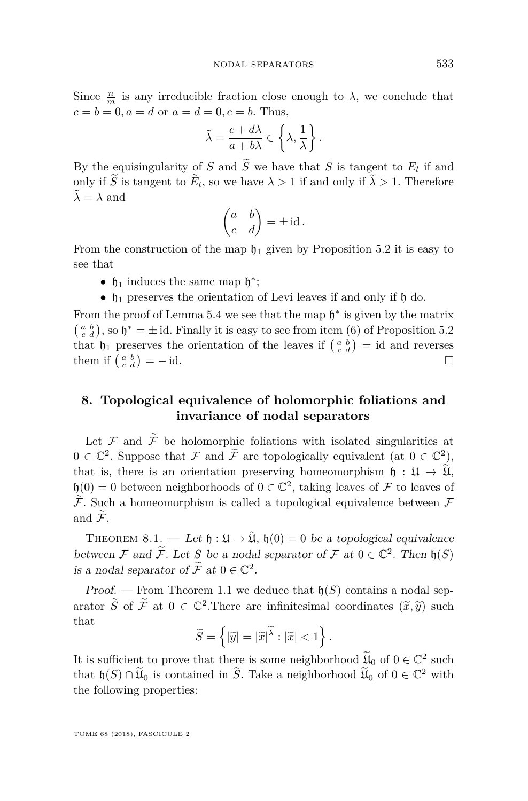Since  $\frac{n}{m}$  is any irreducible fraction close enough to  $\lambda$ , we conclude that  $c = b = 0, a = d$  or  $a = d = 0, c = b$ . Thus,

$$
\tilde{\lambda} = \frac{c + d\lambda}{a + b\lambda} \in \left\{ \lambda, \frac{1}{\lambda} \right\}.
$$

By the equisingularity of *S* and *S* we have that *S* is tangent to  $E_l$  if and only if  $\widetilde{S}$  is tangent to  $\widetilde{E}_l$ , so we have  $\lambda > 1$  if and only if  $\widetilde{\lambda} > 1$ . Therefore  $\tilde{\lambda} = \lambda$  and

$$
\begin{pmatrix} a & b \\ c & d \end{pmatrix} = \pm \operatorname{id}.
$$

From the construction of the map  $\mathfrak{h}_1$  given by Proposition [5.2](#page-10-0) it is easy to see that

- $\mathfrak{h}_1$  induces the same map  $\mathfrak{h}^*$ ;
- $\bullet$   $\mathfrak{h}_1$  preserves the orientation of Levi leaves if and only if  $\mathfrak{h}$  do.

From the proof of Lemma [5.4](#page-13-0) we see that the map  $\mathfrak{h}^*$  is given by the matrix  $\binom{a}{c}\binom{b}{d}$ , so  $\mathfrak{h}^* = \pm$  id. Finally it is easy to see from item [\(6\)](#page-10-3) of Proposition [5.2](#page-10-0) that  $\mathfrak{h}_1$  preserves the orientation of the leaves if  $\begin{pmatrix} a & b \\ c & d \end{pmatrix}$  = id and reverses them if  $\begin{pmatrix} a & b \\ c & d \end{pmatrix} = -id.$ 

#### <span id="page-23-0"></span>**8. Topological equivalence of holomorphic foliations and invariance of nodal separators**

Let  $\mathcal F$  and  $\widetilde{\mathcal F}$  be holomorphic foliations with isolated singularities at  $0 \in \mathbb{C}^2$ . Suppose that  $\mathcal F$  and  $\widetilde{\mathcal F}$  are topologically equivalent (at  $0 \in \mathbb{C}^2$ ), that is, there is an orientation preserving homeomorphism  $\mathfrak{h} : \mathfrak{U} \to \widetilde{\mathfrak{U}}$ ,  $\mathfrak{h}(0) = 0$  between neighborhoods of  $0 \in \mathbb{C}^2$ , taking leaves of F to leaves of  $\widetilde{\mathcal{F}}$ . Such a homeomorphism is called a topological equivalence between  $\mathcal F$ and  $\widetilde{\mathcal{F}}$ .

<span id="page-23-1"></span>THEOREM 8.1. — Let  $\mathfrak{h} : \mathfrak{U} \to \tilde{\mathfrak{U}}$ ,  $\mathfrak{h}(0) = 0$  be a topological equivalence between F and  $\widetilde{\mathcal{F}}$ . Let S be a nodal separator of F at  $0 \in \mathbb{C}^2$ . Then  $\mathfrak{h}(S)$ is a nodal separator of  $\widetilde{\mathcal{F}}$  at  $0 \in \mathbb{C}^2$ .

Proof. — From Theorem [1.1](#page-2-1) we deduce that  $\mathfrak{h}(S)$  contains a nodal separator  $\widetilde{S}$  of  $\widetilde{\mathcal{F}}$  at  $0 \in \mathbb{C}^2$ . There are infinitesimal coordinates  $(\widetilde{x}, \widetilde{y})$  such that that

$$
\widetilde{S} = \left\{ |\widetilde{y}| = |\widetilde{x}|^{\widetilde{\lambda}} : |\widetilde{x}| < 1 \right\}.
$$

It is sufficient to prove that there is some neighborhood  $\widetilde{\mathfrak{U}}_0$  of  $0 \in \mathbb{C}^2$  such that  $\mathfrak{h}(S) \cap \widetilde{\mathfrak{U}}_0$  is contained in  $\widetilde{S}$ . Take a neighborhood  $\widetilde{\mathfrak{U}}_0$  of  $0 \in \mathbb{C}^2$  with the following properties: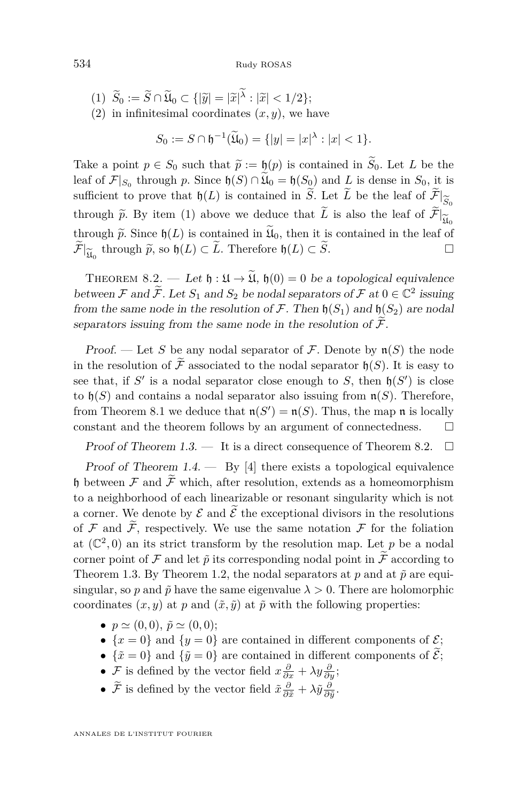<span id="page-24-0"></span>(1) 
$$
\widetilde{S}_0 := \widetilde{S} \cap \widetilde{\mathfrak{U}}_0 \subset \{ |\widetilde{y}| = |\widetilde{x}|^{\widetilde{\lambda}} : |\widetilde{x}| < 1/2 \};
$$
  
(2) in infinitesimal coordinates  $(x, y)$ , we have

$$
S_0 := S \cap \mathfrak{h}^{-1}(\widetilde{\mathfrak{U}}_0) = \{ |y| = |x|^\lambda : |x| < 1 \}.
$$

Take a point  $p \in S_0$  such that  $\tilde{p} := \mathfrak{h}(p)$  is contained in  $\tilde{S}_0$ . Let *L* be the leaf of  $\mathcal{F}|_{S_0}$  through *p*. Since  $\mathfrak{h}(S) \cap \mathfrak{U}_0 = \mathfrak{h}(S_0)$  and *L* is dense in  $S_0$ , it is sufficient to prove that  $\mathfrak{h}(L)$  is contained in  $\widetilde{S}$ . Let  $\widetilde{L}$  be the leaf of  $\widetilde{\mathcal{F}}|_{\widetilde{S}_n}$  $\frac{S_0}{\sim}$ through  $\tilde{p}$ . By item [\(1\)](#page-24-0) above we deduce that *L* is also the leaf of  $\mathcal{F}$  $\frac{\mathfrak{U}_0}{\circ 1}$ through  $\tilde{p}$ . Since  $\mathfrak{h}(L)$  is contained in  $\mathfrak{U}_0$ , then it is contained in the leaf of  $\tilde{\tau}$  through  $\tilde{\alpha}$  as  $\mathfrak{h}(L) \subset \tilde{L}$ . Therefore,  $\mathfrak{h}(L) \subset \tilde{\alpha}$  $\widetilde{\mathcal{F}}|_{\widetilde{\mathfrak{U}}_0}$  through  $\widetilde{p}$ , so  $\mathfrak{h}(L) \subset \widetilde{L}$ . Therefore  $\mathfrak{h}(L) \subset \widetilde{S}$ .

<span id="page-24-1"></span>THEOREM 8.2. — Let  $\mathfrak{h} : \mathfrak{U} \to \widetilde{\mathfrak{U}}$ ,  $\mathfrak{h}(0) = 0$  be a topological equivalence between  $\mathcal F$  and  $\widetilde{\mathcal F}$ . Let  $S_1$  and  $S_2$  be nodal separators of  $\mathcal F$  at  $0 \in \mathbb{C}^2$  issuing from the same node in the resolution of  $\mathcal F$ . Then  $\mathfrak h(S_1)$  and  $\mathfrak h(S_2)$  are nodal separators issuing from the same node in the resolution of  $\widetilde{\mathcal{F}}$ .

Proof. — Let S be any nodal separator of F. Denote by  $\mathfrak{n}(S)$  the node in the resolution of  $\widetilde{\mathcal{F}}$  associated to the nodal separator  $\mathfrak{h}(S)$ . It is easy to see that, if  $S'$  is a nodal separator close enough to  $S$ , then  $\mathfrak{h}(S')$  is close to  $\mathfrak{h}(S)$  and contains a nodal separator also issuing from  $\mathfrak{n}(S)$ . Therefore, from Theorem [8.1](#page-23-1) we deduce that  $\mathfrak{n}(S') = \mathfrak{n}(S)$ . Thus, the map  $\mathfrak{n}$  is locally constant and the theorem follows by an argument of connectedness.  $\Box$ 

Proof of Theorem [1.3.](#page-3-0)  $\qquad$  It is a direct consequence of Theorem [8.2.](#page-24-1)  $\Box$ 

Proof of Theorem [1.4.](#page-3-1)  $-$  By [\[4\]](#page-28-4) there exists a topological equivalence h between  $\mathcal F$  and  $\widetilde{\mathcal F}$  which, after resolution, extends as a homeomorphism to a neighborhood of each linearizable or resonant singularity which is not a corner. We denote by  $\mathcal E$  and  $\tilde{\mathcal E}$  the exceptional divisors in the resolutions of  $\mathcal F$  and  $\widetilde{\mathcal F}$ , respectively. We use the same notation  $\mathcal F$  for the foliation at  $(\mathbb{C}^2,0)$  an its strict transform by the resolution map. Let p be a nodal corner point of F and let  $\tilde{p}$  its corresponding nodal point in  $\tilde{F}$  according to Theorem [1.3.](#page-3-0) By Theorem [1.2,](#page-2-0) the nodal separators at  $p$  and at  $\tilde{p}$  are equisingular, so *p* and  $\tilde{p}$  have the same eigenvalue  $\lambda > 0$ . There are holomorphic coordinates  $(x, y)$  at  $p$  and  $(\tilde{x}, \tilde{y})$  at  $\tilde{p}$  with the following properties:

- $p \simeq (0, 0), \, \tilde{p} \simeq (0, 0);$
- $\{x=0\}$  and  $\{y=0\}$  are contained in different components of  $\mathcal{E};$
- $\{\tilde{x} = 0\}$  and  $\{\tilde{y} = 0\}$  are contained in different components of  $\tilde{\mathcal{E}}$ ;
- *F* is defined by the vector field  $x\frac{\partial}{\partial x} + \lambda y\frac{\partial}{\partial y}$ ;
- $\tilde{\mathcal{F}}$  is defined by the vector field  $\tilde{x} \frac{\partial}{\partial \tilde{x}} + \lambda \tilde{y} \frac{\partial}{\partial \tilde{y}}$ .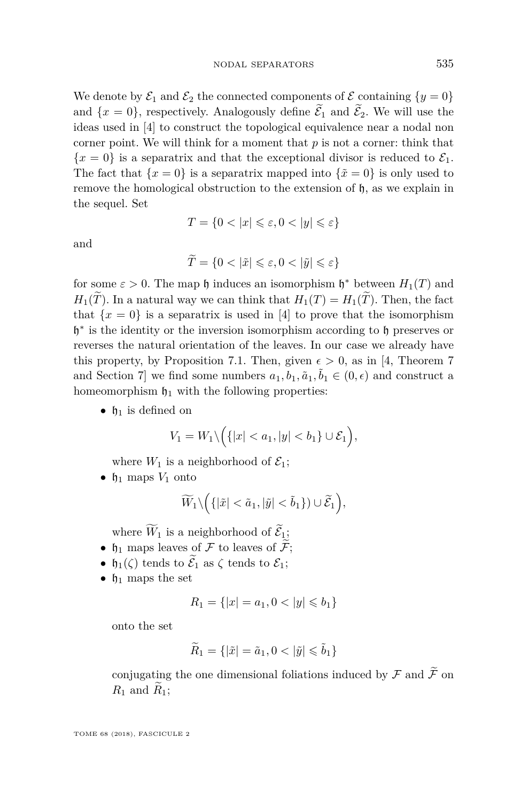We denote by  $\mathcal{E}_1$  and  $\mathcal{E}_2$  the connected components of  $\mathcal E$  containing  $\{y=0\}$ and  $\{x=0\}$ , respectively. Analogously define  $\widetilde{\mathcal{E}}_1$  and  $\widetilde{\mathcal{E}}_2$ . We will use the ideas used in [\[4\]](#page-28-4) to construct the topological equivalence near a nodal non corner point. We will think for a moment that *p* is not a corner: think that  ${x = 0}$  is a separatrix and that the exceptional divisor is reduced to  $\mathcal{E}_1$ . The fact that  ${x = 0}$  is a separatrix mapped into  ${\tilde{x} = 0}$  is only used to remove the homological obstruction to the extension of  $\mathfrak{h}$ , as we explain in the sequel. Set

$$
T = \{0 < |x| \leqslant \varepsilon, 0 < |y| \leqslant \varepsilon\}
$$

and

$$
\widetilde{T} = \{0 < |\tilde{x}| \leq \varepsilon, 0 < |\tilde{y}| \leq \varepsilon\}
$$

for some  $\varepsilon > 0$ . The map  $\mathfrak h$  induces an isomorphism  $\mathfrak h^*$  between  $H_1(T)$  and  $H_1(\widetilde{T})$ . In a natural way we can think that  $H_1(T) = H_1(\widetilde{T})$ . Then, the fact that  ${x = 0}$  is a separatrix is used in [\[4\]](#page-28-4) to prove that the isomorphism h ∗ is the identity or the inversion isomorphism according to h preserves or reverses the natural orientation of the leaves. In our case we already have this property, by Proposition [7.1.](#page-22-1) Then, given  $\epsilon > 0$ , as in [\[4,](#page-28-4) Theorem 7 and Section 7] we find some numbers  $a_1, b_1, \tilde{a}_1, \tilde{b}_1 \in (0, \epsilon)$  and construct a homeomorphism  $\mathfrak{h}_1$  with the following properties:

•  $\mathfrak{h}_1$  is defined on

$$
V_1 = W_1 \setminus \Big( \{|x| < a_1, |y| < b_1\} \cup \mathcal{E}_1 \Big),
$$

where  $W_1$  is a neighborhood of  $\mathcal{E}_1$ ;

•  $\mathfrak{h}_1$  maps  $V_1$  onto

$$
\widetilde{W}_1 \setminus \Big( \{ |\tilde{x}| < \tilde{a}_1, |\tilde{y}| < \tilde{b}_1 \} \Big) \cup \widetilde{\mathcal{E}}_1 \Big),
$$

where  $\widetilde{W}_1$  is a neighborhood of  $\widetilde{\mathcal{E}}_1$ ;

- $\mathfrak{h}_1$  maps leaves of  $\mathcal F$  to leaves of  $\widetilde{\mathcal F}$ ;
- $\mathfrak{h}_1(\zeta)$  tends to  $\widetilde{\mathcal{E}}_1$  as  $\zeta$  tends to  $\mathcal{E}_1$ ;
- $\mathfrak{h}_1$  maps the set

$$
R_1 = \{|x| = a_1, 0 < |y| \leq b_1\}
$$

onto the set

$$
\widetilde{R}_1 = \{ |\tilde{x}| = \tilde{a}_1, 0 < |\tilde{y}| \leq \tilde{b}_1 \}
$$

conjugating the one dimensional foliations induced by  $\mathcal F$  and  $\widetilde{\mathcal F}$  on  $R_1$  and  $R_1$ ;

TOME 68 (2018), FASCICULE 2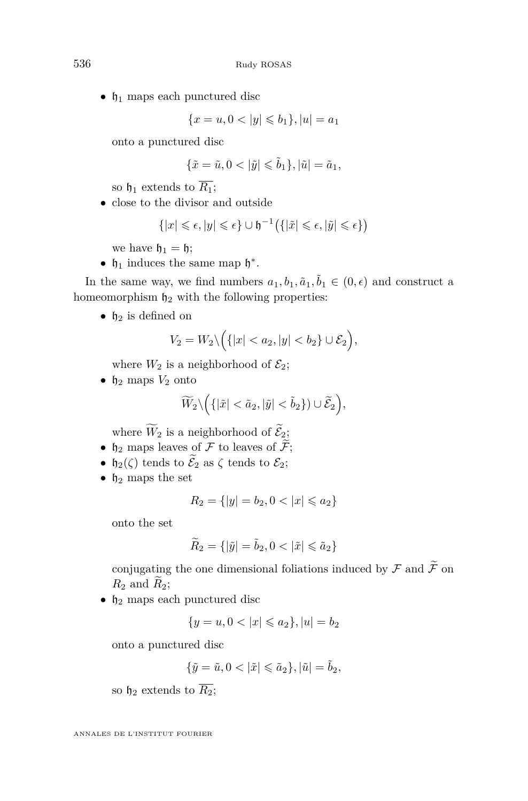•  $\mathfrak{h}_1$  maps each punctured disc

$$
\{x=u, 0<|y|\leqslant b_1\}, |u|=a_1
$$

onto a punctured disc

$$
\{\tilde{x}=\tilde{u}, 0<|\tilde{y}|\leqslant \tilde{b}_1\}, |\tilde{u}|=\tilde{a}_1,
$$

so  $\mathfrak{h}_1$  extends to  $\overline{R_1}$ ;

• close to the divisor and outside

$$
\{|x| \leqslant \epsilon, |y| \leqslant \epsilon\} \cup \mathfrak{h}^{-1} \big( \{ |\tilde{x}| \leqslant \epsilon, |\tilde{y}| \leqslant \epsilon \} \big)
$$

we have  $\mathfrak{h}_1 = \mathfrak{h}$ ;

•  $\mathfrak{h}_1$  induces the same map  $\mathfrak{h}^*$ .

In the same way, we find numbers  $a_1, b_1, \tilde{a}_1, \tilde{b}_1 \in (0, \epsilon)$  and construct a homeomorphism  $\mathfrak{h}_2$  with the following properties:

•  $\n *h*<sub>2</sub>\n is defined on$ 

$$
V_2 = W_2 \setminus \Big( \{|x| < a_2, |y| < b_2\} \cup \mathcal{E}_2 \Big),
$$

where  $W_2$  is a neighborhood of  $\mathcal{E}_2$ ;

•  $\mathfrak{h}_2$  maps  $V_2$  onto

$$
\widetilde{W}_2 \setminus \Big( \{ |\tilde{x}| < \tilde{a}_2, |\tilde{y}| < \tilde{b}_2 \} \Big) \cup \widetilde{\mathcal{E}}_2 \Big),
$$

where  $\widetilde{W}_2$  is a neighborhood of  $\widetilde{\mathcal{E}}_2$ ;

- $\n *h*<sub>2</sub>$  maps leaves of  $\overrightarrow{\mathcal{F}}$  to leaves of  $\overrightarrow{\mathcal{F}}$ ;
- $\mathfrak{h}_2(\zeta)$  tends to  $\widetilde{\mathcal{E}}_2$  as  $\zeta$  tends to  $\mathcal{E}_2$ ;
- $\mathfrak{h}_2$  maps the set

$$
R_2 = \{ |y| = b_2, 0 < |x| \leq a_2 \}
$$

onto the set

$$
\widetilde{R}_2 = \{ |\widetilde{y}| = \widetilde{b}_2, 0 < |\widetilde{x}| \leq \widetilde{a}_2 \}
$$

conjugating the one dimensional foliations induced by  $\mathcal F$  and  $\widetilde{\mathcal F}$  on  $R_2$  and  $\widetilde{R}_2$ ;

•  $\mathfrak{h}_2$  maps each punctured disc

$$
\{y = u, 0 < |x| \leqslant a_2\}, |u| = b_2
$$

onto a punctured disc

$$
\{\tilde y=\tilde u, 0<|\tilde x|\leqslant \tilde a_2\}, |\tilde u|=\tilde b_2,
$$

so  $\mathfrak{h}_2$  extends to  $\overline{R_2}$ ;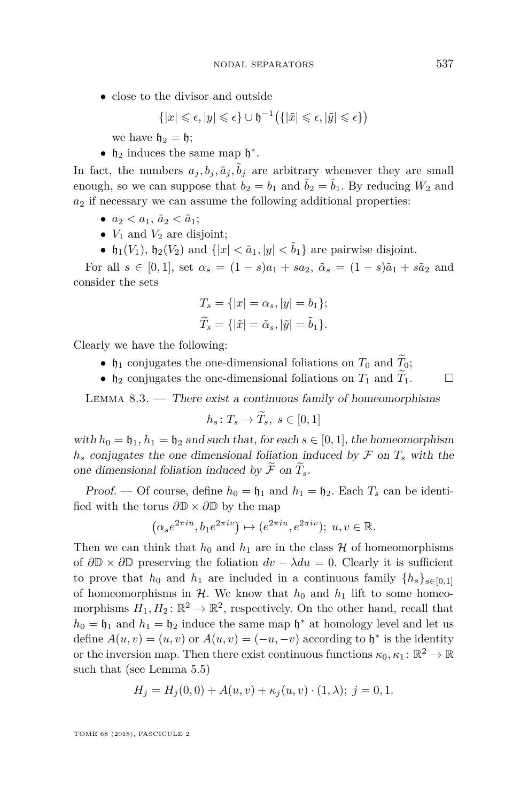• close to the divisor and outside

$$
\{|x| \leqslant \epsilon, |y| \leqslant \epsilon\} \cup \mathfrak{h}^{-1} \big( \{ |\tilde{x}| \leqslant \epsilon, |\tilde{y}| \leqslant \epsilon \} \big)
$$

we have  $h_2 = h$ ;

•  $\mathfrak{h}_2$  induces the same map  $\mathfrak{h}^*$ .

In fact, the numbers  $a_j, b_j, \tilde{a}_j, \tilde{b}_j$  are arbitrary whenever they are small enough, so we can suppose that  $b_2 = b_1$  and  $\tilde{b}_2 = \tilde{b}_1$ . By reducing  $W_2$  and  $a_2$  if necessary we can assume the following additional properties:

- $a_2 < a_1$ ,  $\tilde{a}_2 < \tilde{a}_1$ ;
- $V_1$  and  $V_2$  are disjoint;
- $\mathfrak{h}_1(V_1)$ ,  $\mathfrak{h}_2(V_2)$  and  $\{|x| < \tilde{a}_1, |y| < \tilde{b}_1\}$  are pairwise disjoint.

For all  $s \in [0,1]$ , set  $\alpha_s = (1-s)a_1 + sa_2$ ,  $\tilde{\alpha}_s = (1-s)\tilde{a}_1 + s\tilde{a}_2$  and consider the sets

$$
T_s = \{ |x| = \alpha_s, |y| = b_1 \};
$$
  

$$
\widetilde{T}_s = \{ |\tilde{x}| = \tilde{\alpha}_s, |\tilde{y}| = \tilde{b}_1 \}.
$$

Clearly we have the following:

- $\mathfrak{h}_1$  conjugates the one-dimensional foliations on  $T_0$  and  $\widetilde{T}_0$ ;
- $\n *h*<sub>2</sub>\n conjugates the one-dimensional foliations on *T*<sub>1</sub> and *T*<sub>1</sub>.\n$

LEMMA  $8.3.$  — There exist a continuous family of homeomorphisms

$$
h_s \colon T_s \to \widetilde{T}_s, \ s \in [0,1]
$$

with  $h_0 = \mathfrak{h}_1$ ,  $h_1 = \mathfrak{h}_2$  and such that, for each  $s \in [0, 1]$ , the homeomorphism  $h_s$  conjugates the one dimensional foliation induced by  $\mathcal F$  on  $T_s$  with the one dimensional foliation induced by  $\widetilde{\mathcal{F}}$  on  $\widetilde{T}_{s}$ .

Proof. — Of course, define  $h_0 = \mathfrak{h}_1$  and  $h_1 = \mathfrak{h}_2$ . Each  $T_s$  can be identified with the torus *∂*D × *∂*D by the map

$$
(\alpha_s e^{2\pi i u}, b_1 e^{2\pi i v}) \mapsto (e^{2\pi i u}, e^{2\pi i v}); u, v \in \mathbb{R}.
$$

Then we can think that  $h_0$  and  $h_1$  are in the class  $H$  of homeomorphisms of  $\partial \mathbb{D} \times \partial \mathbb{D}$  preserving the foliation  $dv - \lambda du = 0$ . Clearly it is sufficient to prove that  $h_0$  and  $h_1$  are included in a continuous family  $\{h_s\}_{s\in[0,1]}$ of homeomorphisms in  $H$ . We know that  $h_0$  and  $h_1$  lift to some homeomorphisms  $H_1, H_2 \colon \mathbb{R}^2 \to \mathbb{R}^2$ , respectively. On the other hand, recall that  $h_0 = \mathfrak{h}_1$  and  $h_1 = \mathfrak{h}_2$  induce the same map  $\mathfrak{h}^*$  at homology level and let us define  $A(u, v) = (u, v)$  or  $A(u, v) = (-u, -v)$  according to  $\mathfrak{h}^*$  is the identity or the inversion map. Then there exist continuous functions  $\kappa_0, \kappa_1 : \mathbb{R}^2 \to \mathbb{R}$ such that (see Lemma [5.5\)](#page-14-3)

$$
H_j = H_j(0,0) + A(u,v) + \kappa_j(u,v) \cdot (1,\lambda); \ j = 0,1.
$$

TOME 68 (2018), FASCICULE 2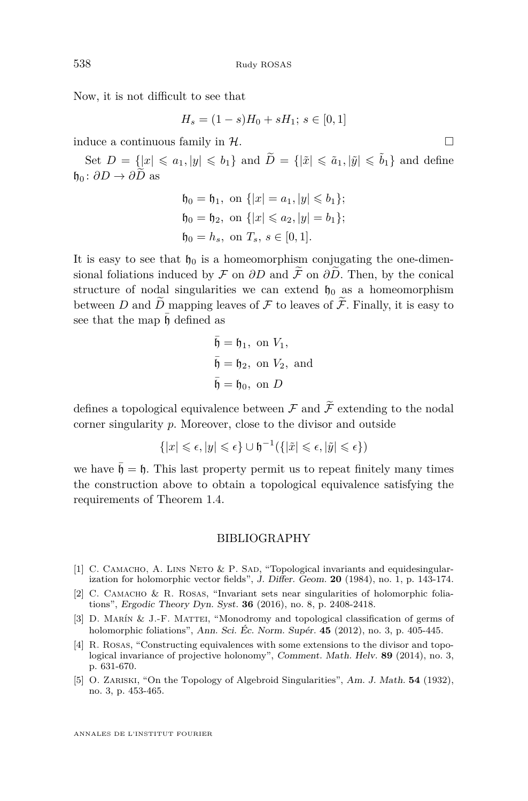Now, it is not difficult to see that

$$
H_s = (1 - s)H_0 + sH_1; \ s \in [0, 1]
$$

induce a continuous family in  $\mathcal{H}$ .

Set  $D = \{|x| \leq a_1, |y| \leq b_1\}$  and  $\widetilde{D} = \{|\tilde{x}| \leq \tilde{a}_1, |\tilde{y}| \leq \tilde{b}_1\}$  and define  $\mathfrak{h}_0 : \partial D \to \partial \widetilde{D}$  as

$$
\begin{aligned} \mathfrak{h}_0 &= \mathfrak{h}_1, \text{ on } \{|x| = a_1, |y| \leq b_1\}; \\ \mathfrak{h}_0 &= \mathfrak{h}_2, \text{ on } \{|x| \leq a_2, |y| = b_1\}; \\ \mathfrak{h}_0 &= h_s, \text{ on } T_s, \, s \in [0, 1]. \end{aligned}
$$

It is easy to see that  $\mathfrak{h}_0$  is a homeomorphism conjugating the one-dimensional foliations induced by F on  $\partial D$  and  $\tilde{\mathcal{F}}$  on  $\partial \tilde{D}$ . Then, by the conical structure of nodal singularities we can extend  $\mathfrak{h}_0$  as a homeomorphism between *D* and  $\tilde{D}$  mapping leaves of  $\mathcal F$  to leaves of  $\tilde{\mathcal F}$ . Finally, it is easy to see that the map  $\bar{h}$  defined as

$$
\overline{\mathfrak{h}} = \mathfrak{h}_1, \text{ on } V_1,
$$
  

$$
\overline{\mathfrak{h}} = \mathfrak{h}_2, \text{ on } V_2, \text{ and}
$$
  

$$
\overline{\mathfrak{h}} = \mathfrak{h}_0, \text{ on } D
$$

defines a topological equivalence between  $\mathcal F$  and  $\widetilde{\mathcal F}$  extending to the nodal corner singularity *p*. Moreover, close to the divisor and outside

$$
\{|x| \leqslant \epsilon, |y| \leqslant \epsilon\} \cup \mathfrak{h}^{-1}(\{|\tilde{x}| \leqslant \epsilon, |\tilde{y}| \leqslant \epsilon\})
$$

we have  $\bar{\mathfrak{h}} = \mathfrak{h}$ . This last property permit us to repeat finitely many times the construction above to obtain a topological equivalence satisfying the requirements of Theorem [1.4.](#page-3-1)

#### BIBLIOGRAPHY

- <span id="page-28-3"></span>[1] C. CAMACHO, A. LINS NETO & P. SAD, "Topological invariants and equidesingularization for holomorphic vector fields", J. Differ. Geom. **20** (1984), no. 1, p. 143-174.
- <span id="page-28-1"></span>[2] C. Camacho & R. Rosas, "Invariant sets near singularities of holomorphic foliations", Ergodic Theory Dyn. Syst. **36** (2016), no. 8, p. 2408-2418.
- <span id="page-28-0"></span>[3] D. Marín & J.-F. Mattei, "Monodromy and topological classification of germs of holomorphic foliations", Ann. Sci. Éc. Norm. Supér. **45** (2012), no. 3, p. 405-445.
- <span id="page-28-4"></span>[4] R. Rosas, "Constructing equivalences with some extensions to the divisor and topological invariance of projective holonomy", Comment. Math. Helv. **89** (2014), no. 3, p. 631-670.
- <span id="page-28-2"></span>[5] O. Zariski, "On the Topology of Algebroid Singularities", Am. J. Math. **54** (1932), no. 3, p. 453-465.